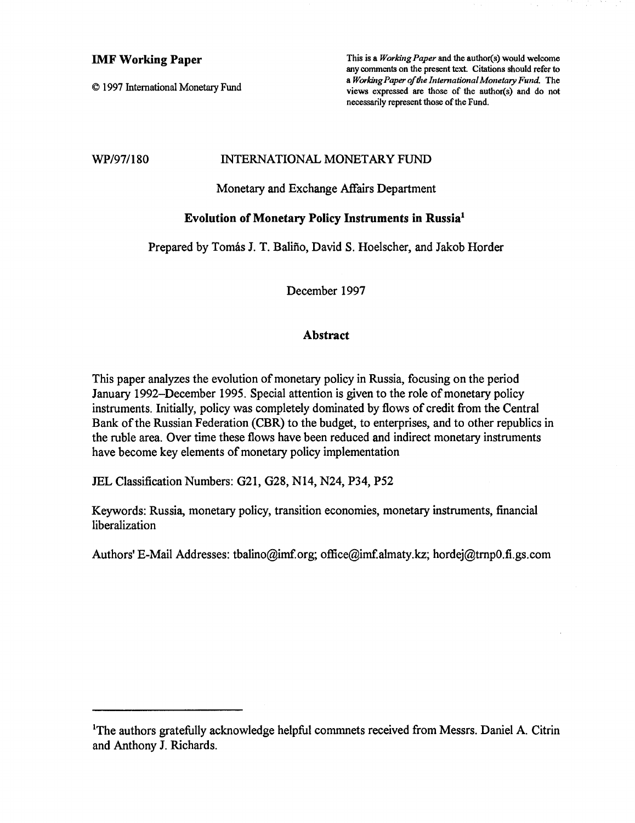# IMF **Working Paper**

© 1997 International Monetary Fwid

This is a *Working Paper* and the author(s) would welcome any comments on the present text. Citations should refer to a *Working Paper of the International Monetary Fund.* The views expressed are those of the author(s) and do not necessarily represent those of the Fund.

# WP/97/180 INTERNATIONAL MONETARY FUND

Monetary and Exchange Affairs Department

# Evolution of Monetary Policy Instruments in Russia<sup>1</sup>

Prepared by Tomás J. T. Baliño, David S. Hoelscher, and Jakob Horder

December 1997

# **Abstract**

This paper analyzes the evolution of monetary policy in Russia, focusing on the period January 1992-December 1995. Special attention is given to the role of monetary policy instruments. Initially, policy was completely dominated by flows of credit from the Central Bank of the Russian Federation (CBR) to the budget, to enterprises, and to other republics in the ruble area. Over time these flows have been reduced and indirect monetary instruments have become key elements of monetary policy implementation

JEL Classification Numbers: G21, G28, N14, N24, P34, P52

Keywords: Russia, monetary policy, transition economies, monetary instruments, financial liberalization

Authors' E-Mail Addresses: tbalino@imf.org; office@imf.almaty.kz; hordej@trnpO.fi.gs.com

<sup>&</sup>lt;sup>1</sup>The authors gratefully acknowledge helpful commnets received from Messrs. Daniel A. Citrin and Anthony J. Richards.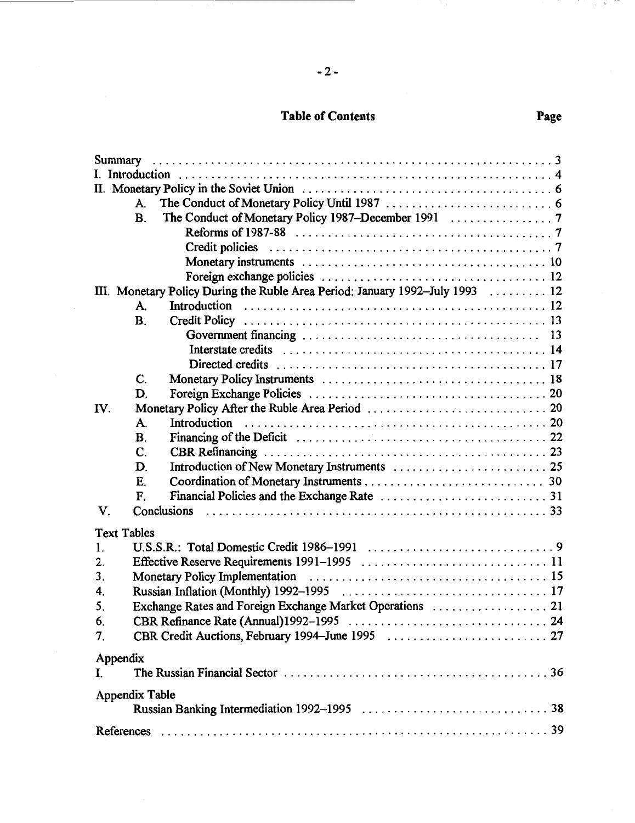# Table of Contents **Page**

| A.                                                                            |
|-------------------------------------------------------------------------------|
| <b>B.</b>                                                                     |
|                                                                               |
|                                                                               |
|                                                                               |
|                                                                               |
| III. Monetary Policy During the Ruble Area Period: January 1992-July 1993  12 |
| A.                                                                            |
| $\mathbf{B}$ .                                                                |
|                                                                               |
|                                                                               |
|                                                                               |
| C.                                                                            |
| D.                                                                            |
| IV.                                                                           |
| A.                                                                            |
| $\mathbf{B}$ .                                                                |
| $\mathbf{C}$                                                                  |
| D.                                                                            |
| E.                                                                            |
| F.                                                                            |
| V.                                                                            |
| <b>Text Tables</b>                                                            |
| 1.                                                                            |
| 2.                                                                            |
| 3.                                                                            |
| 4.                                                                            |
| 5.                                                                            |
| 6.                                                                            |
| 7.                                                                            |
| Appendix                                                                      |
| I.                                                                            |
|                                                                               |
| Appendix Table                                                                |
|                                                                               |
|                                                                               |

 $\mathcal{N}_{\mathcal{S}}$ 

 $\gamma = -Y$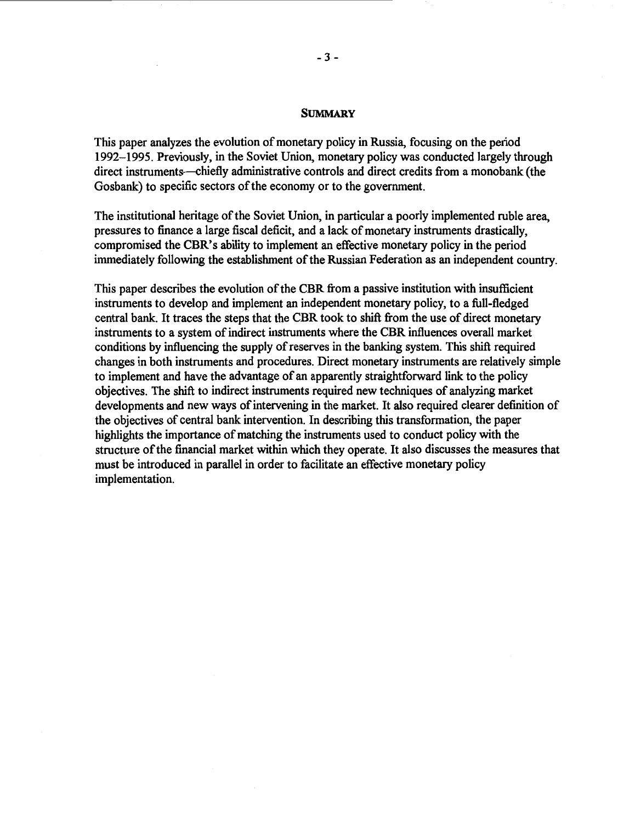#### **SUMMARY**

This paper analyzes the evolution of monetary policy in Russia, focusing on the period 1992-1995. Previously, in the Soviet Union, monetary policy was conducted largely through direct instruments—chiefly administrative controls and direct credits from a monobank (the Gosbank) to specific sectors of the economy or to the government.

The institutional heritage of the Soviet Union, in particular a poorly implemented ruble area, pressures to finance a large fiscal deficit, and a lack of monetary instruments drastically, compromised the CBR's ability to implement an effective monetary policy in the period immediately following the establishment of the Russian Federation as an independent country.

This paper describes the evolution of the CBR from a passive institution with insufficient instruments to develop and implement an independent monetary policy, to a full-fledged central bank. It traces the steps that the CBR took to shift from the use of direct monetary instruments to a system of indirect instruments where the CBR influences overall market conditions by influencing the supply of reserves in the banking system. This shift required changes in both instruments and procedures. Direct monetary instruments are relatively simple to implement and have the advantage of an apparently straightforward link to the policy objectives. The shift to indirect instruments required new techniques of analyzing market developments and new ways of intervening in the market. It also required clearer definition of the objectives of central bank intervention. In describing this transformation, the paper highlights the importance of matching the instruments used to conduct policy with the structure of the financial market within which they operate. It also discusses the measures that must be introduced in parallel in order to facilitate an effective monetary policy implementation.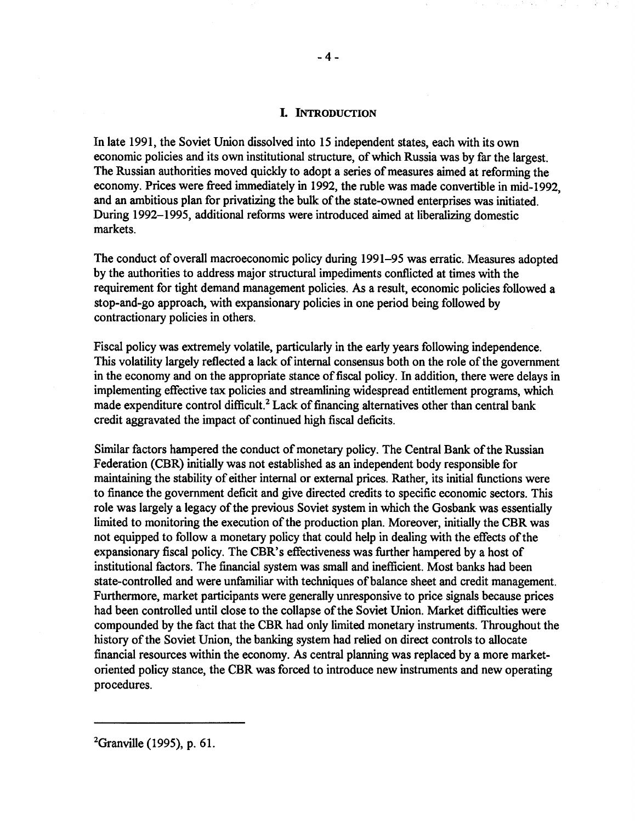# **L INTRODUCTION**

In late 1991, the Soviet Union dissolved into 15 independent states, each with its own economic policies and its own institutional structure, of which Russia was by far the largest. The Russian authorities moved quickly to adopt a series of measures aimed at reforming the economy. Prices were freed immediately in 1992, the ruble was made convertible in mid-1992, and an ambitious plan for privatizing the bulk of the state-owned enterprises was initiated. During 1992-1995, additional reforms were introduced aimed at liberalizing domestic markets.

The conduct of overall macroeconomic policy during 1991-95 was erratic. Measures adopted by the authorities to address major structural impediments conflicted at times with the requirement for tight demand management policies. As a result, economic policies followed a stop-and-go approach, with expansionary policies in one period being followed by contractionary policies in others.

Fiscal policy was extremely volatile, particularly in the early years following independence. This volatility largely reflected a lack of internal consensus both on the role of the government in the economy and on the appropriate stance of fiscal policy. In addition, there were delays in implementing effective tax policies and streamlining widespread entitlement programs, which made expenditure control difficult.<sup>2</sup> Lack of financing alternatives other than central bank credit aggravated the impact of continued high fiscal deficits.

Similar factors hampered the conduct of monetary policy. The Central Bank of the Russian Federation (CBR) initially was not established as an independent body responsible for maintaining the stability of either internal or external prices. Rather, its initial functions were to finance the government deficit and give directed credits to specific economic sectors. This role was largely a legacy of the previous Soviet system in which the Gosbank was essentially limited to monitoring the execution of the production plan. Moreover, initially the CBR was not equipped to follow a monetary policy that could help in dealing with the effects of the expansionary fiscal policy. The CBR's effectiveness was further hampered by a host of institutional factors. The financial system was small and inefficient. Most banks had been state-controlled and were unfamiliar with techniques of balance sheet and credit management. Furthermore, market participants were generally unresponsive to price signals because prices had been controlled until close to the collapse of the Soviet Union. Market difficulties were compounded by the fact that the CBR had only limited monetary instruments. Throughout the history of the Soviet Union, the banking system had relied on direct controls to allocate financial resources within the economy. As central planning was replaced by a more marketoriented policy stance, the CBR was forced to introduce new instruments and new operating procedures.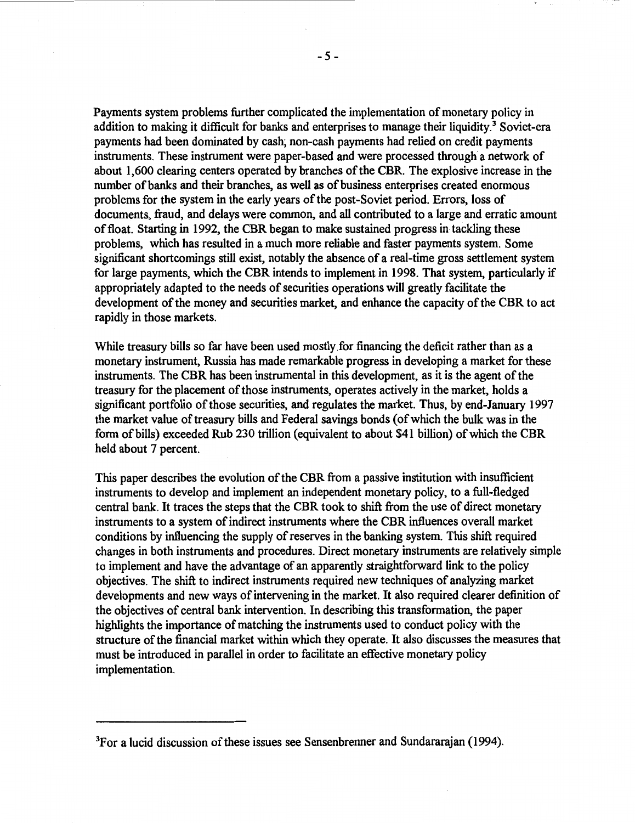Payments system problems further complicated the implementation of monetary policy in addition to making it difficult for banks and enterprises to manage their liquidity.<sup>3</sup> Soviet-era payments had been dominated by cash; non-cash payments had relied on credit payments instruments. These instrument were paper-based and were processed through a network of about 1,600 clearing centers operated by branches of the CBR. The explosive increase in the number of banks and their branches, as well as of business enterprises created enormous problems for the system in the early years of the post-Soviet period. Errors, loss of documents, fraud, and delays were common, and all contributed to a large and erratic amount of float. Starting in 1992, the CBR began to make sustained progress in tackling these problems, which has resulted in a much more reliable and faster payments system. Some significant shortcomings still exist, notably the absence of a real-time gross settlement system for large payments, which the CBR intends to implement in 1998. That system, particularly if appropriately adapted to the needs of securities operations will greatly facilitate the development of the money and securities market, and enhance the capacity of the CBR to act rapidly in those markets.

While treasury bills so far have been used mostly for financing the deficit rather than as a monetary instrument, Russia has made remarkable progress in developing a market for these instruments. The CBR has been instrumental in this development, as it is the agent of the treasury for the placement of those instruments, operates actively in the market, holds a significant portfolio of those securities, and regulates the market. Thus, by end-January 1997 the market value of treasury bills and Federal savings bonds ( of which the bulk was in the form of bills) exceeded Rub 230 trillion (equivalent to about \$41 billion) of which the CBR held about 7 percent.

This paper describes the evolution of the CBR from a passive institution with insufficient instruments to develop and implement an independent monetary policy, to a full-fledged central bank. It traces the steps that the CBR took to shift from the use of direct monetary instruments to a system of indirect instruments where the CBR influences overall market conditions by influencing the supply of reserves in the banking system. This shift required changes in both instruments and procedures. Direct monetary instruments are relatively simple to implement and have the advantage of an apparently straightforward link to the policy objectives. The shift to indirect instruments required new techniques of analyzing market developments and new ways of intervening in the market. It also required clearer definition of the objectives of central bank intervention. In describing this transformation, the paper highlights the importance of matching the instruments used to conduct policy with the structure of the financial market within which they operate. It also discusses the measures that must be introduced in parallel in order to facilitate an effective monetary policy implementation.

<sup>&</sup>lt;sup>3</sup>For a lucid discussion of these issues see Sensenbrenner and Sundararajan (1994).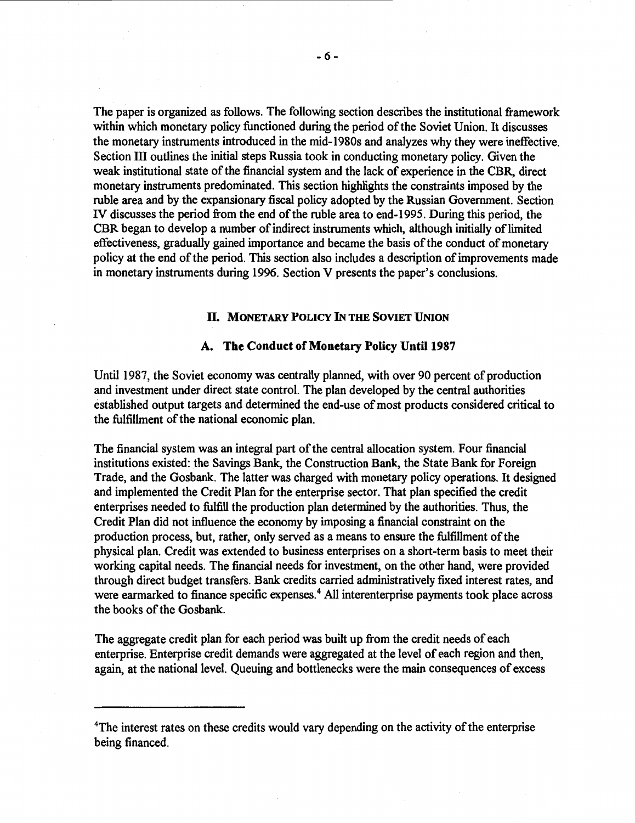The paper is organized as follows. The following section describes the institutional framework within which monetary policy functioned during the period of the Soviet Union. It discusses the monetary instruments introduced in the mid-l 980s and analyzes why they were ineffective. Section III outlines the initial steps Russia took in conducting monetary policy. Given the weak institutional state of the financial system and the lack of experience in the CBR, direct monetary instruments predominated. This section highlights the constraints imposed by the ruble area and by the expansionary fiscal policy adopted by the Russian Government. Section IV discusses the period from the end of the ruble area to end-1995. During this period, the CBR began to develop a number of indirect instruments which, although initially of limited effectiveness, gradually gained importance and became the basis of the conduct of monetary policy at the end of the period. This section also includes a description of improvements made in monetary instruments during 1996. Section V presents the paper's conclusions.

### Il. **MONETARY POLICY** IN **THE SOVIET UNION**

### **A. The Conduct of Monetary Policy Until 1987**

Until 1987, the Soviet economy was centrally planned, with over 90 percent of production and investment under direct state control. The plan developed by the central authorities established output targets and determined the end-use of most products considered critical to the fulfillment of the national economic plan.

The financial system was an integral part of the central allocation system. Four financial institutions existed: the Savings Bank, the Construction Bank, the State Bank for Foreign Trade, and the Gosbank. The latter was charged with monetary policy operations. It designed and implemented the Credit Plan for the enterprise sector. That plan specified the credit enterprises needed to fulfill the production plan determined by the authorities. Thus, the Credit Plan did not influence the economy by imposing a financial constraint on the production process, but, rather, only served as a means to ensure the fulfillment of the physical plan. Credit was extended to business enterprises on a short-term basis to meet their working capital needs. The financial needs for investment, on the other hand, were provided through direct budget transfers. Bank credits carried administratively fixed interest rates, and were earmarked to finance specific expenses.<sup>4</sup> All interenterprise payments took place across the books of the Gosbank.

The aggregate credit plan for each period was built up from the credit needs of each enterprise. Enterprise credit demands were aggregated at the level of each region and then, again, at the national level. Oueuing and bottlenecks were the main consequences of excess

<sup>&</sup>lt;sup>4</sup>The interest rates on these credits would vary depending on the activity of the enterprise being financed.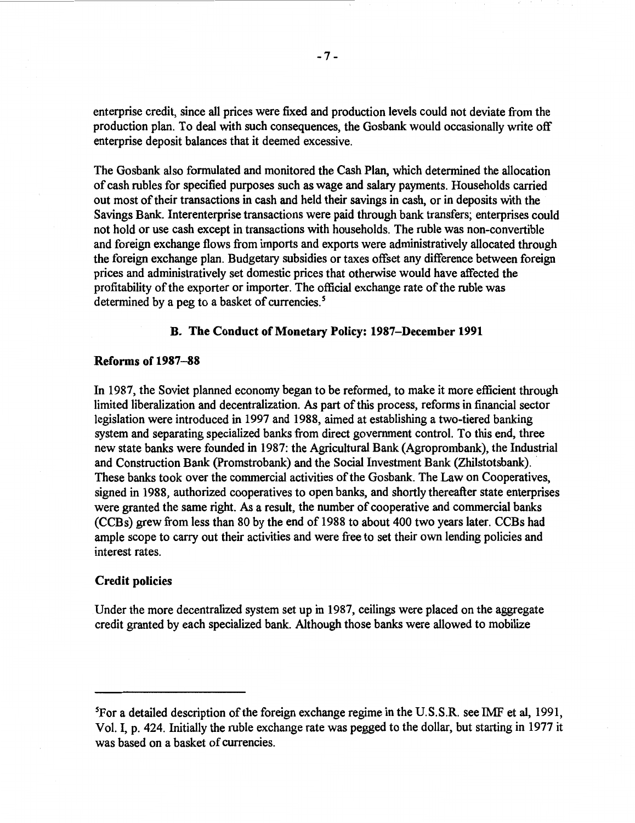enterprise credit, since all prices were fixed and production levels could not deviate from the production plan. To deal with such consequences, the Gosbank would occasionally write off enterprise deposit balances that it deemed excessive.

The Gosbank also formulated and monitored the Cash Plan, which determined the allocation of cash rubles for specified purposes such as wage and salary payments. Households carried out most of their transactions in cash and held their savings in cash, or in deposits with the Savings Bank. Interenterprise transactions were paid through bank transfers; enterprises could not hold or use cash except in transactions with households. The ruble was non-convertible and foreign exchange flows from imports and exports were administratively allocated through the foreign exchange plan. Budgetary subsidies or taxes offset any difference between foreign prices and administratively set domestic prices that otherwise would have affected the profitability of the exporter or importer. The official exchange rate of the ruble was determined by a peg to a basket of currencies. *5* 

# **B. The Conduct of Monetary Policy: 1987-December 1991**

# **Reforms of 1987-88**

In 1987, the Soviet planned economy began to be reformed, to make it more efficient through limited liberalization and decentralization. As part of this process, reforms in financial sector legislation were introduced in 1997 and 1988, aimed at establishing a two-tiered banking system and separating specialized banks from direct government control. To this end, three new state banks were founded in 1987: the Agricultural Bank (Agroprombank), the Industrial and Construction Bank (Promstrobank) and the Social Investment Bank (Zhilstotsbank). • These banks took over the commercial activities of the Gosbank. The Law on Cooperatives, signed in 1988, authorized cooperatives to open banks, and shortly thereafter state enterprises were granted the same right. As a result, the number of cooperative and commercial banks (CCBs) grew from less than 80 by the end of 1988 to about 400 two years later. CCBs had ample scope to carry out their activities and were free to set their own lending policies and interest rates.

#### **Credit policies**

Under the more decentralized system set up in 1987, ceilings were placed on the aggregate credit granted by each specialized bank. Although those banks were allowed to mobilize

<sup>&</sup>lt;sup>5</sup>For a detailed description of the foreign exchange regime in the U.S.S.R. see IMF et al, 1991, Vol. I, p. 424. Initially the ruble exchange rate was pegged to the dollar, but starting in 1977 it was based on a basket of currencies.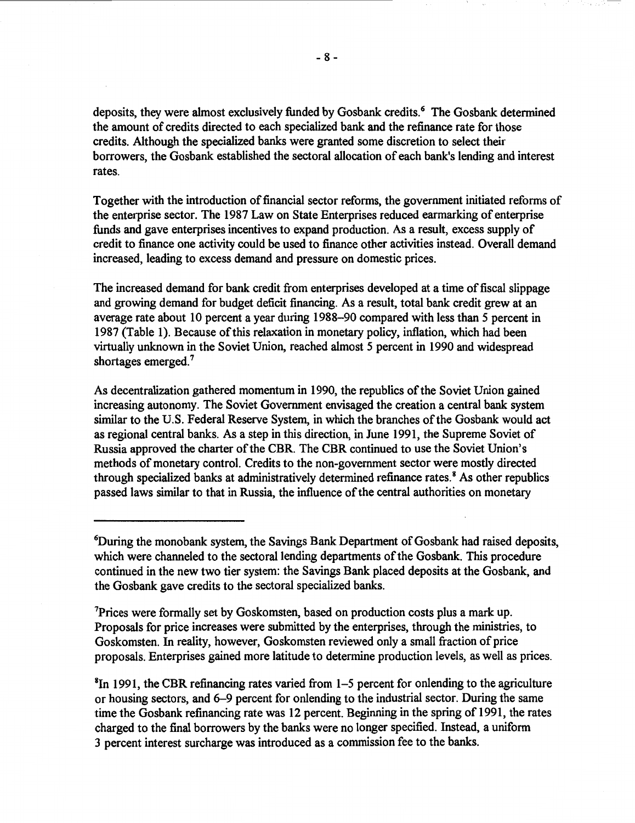deposits, they were almost exclusively funded by Gosbank credits.<sup>6</sup> The Gosbank determined the amount of credits directed to each specialized bank and the refinance rate for those credits. Although the specialized banks were granted some discretion to select their borrowers, the Gosbank established the sectoral allocation of each bank's lending and interest rates.

Together with the introduction of financial sector reforms, the government initiated reforms of the enterprise sector. The 1987 Law on State Enterprises reduced earmarking of enterprise funds and gave enterprises incentives to expand production. As a result, excess supply of credit to finance one activity could be used to finance other activities instead. Overall demand increased, leading to excess demand and pressure on domestic prices.

The increased demand for bank credit from enterprises developed at a time of fiscal slippage and growing demand for budget deficit financing. As a result, total bank credit grew at an average rate about 10 percent a year during 1988-90 compared with less than 5 percent in 1987 (Table 1). Because of this relaxation in monetary policy, inflation, which had been virtually unknown in the Soviet Union, reached almost 5 percent in 1990 and widespread shortages emerged.<sup>7</sup>

As decentralization gathered momentum in 1990, the republics of the Soviet Union gained increasing autonomy. The Soviet Government envisaged the creation a central bank system similar to the U.S. Federal Reserve System, in which the branches of the Gosbank would act as regional central banks. As a step in this direction, in June 1991, the Supreme Soviet of Russia approved the charter of the CBR. The CBR continued to use the Soviet Union's methods of monetary control. Credits to the non-government sector were mostly directed through specialized banks at administratively determined refinance rates.<sup>8</sup> As other republics passed laws similar to that in Russia, the influence of the central authorities on monetary

7 Prices were formally set by Goskomsten, based on production costs plus a mark up. Proposals for price increases were submitted by the enterprises, through the ministries, to Goskomsten. In reality, however, Goskomsten reviewed only a small fraction of price proposals. Enterprises gained more latitude to detennine production levels, as well as prices.

8 In 1991, the CBR refinancing rates varied from 1-5 percent for onlending to the agriculture or housing sectors, and 6-9 percent for onlending to the industrial sector. During the same time the Gosbank refinancing rate was 12 percent. Beginning in the spring of 1991, the rates charged to the final borrowers by the banks were no longer specified. Instead, a uniform 3 percent interest surcharge was introduced as a commission fee to the banks.

<sup>6</sup> During the monobank system, the Savings Bank Department of Gosbank had raised deposits, which were channeled to the sectoral lending departments of the Gosbank. This procedure continued in the new two tier system: the Savings Bank placed deposits at the Gosbank, and the Gosbank gave credits to the sectoral specialized banks.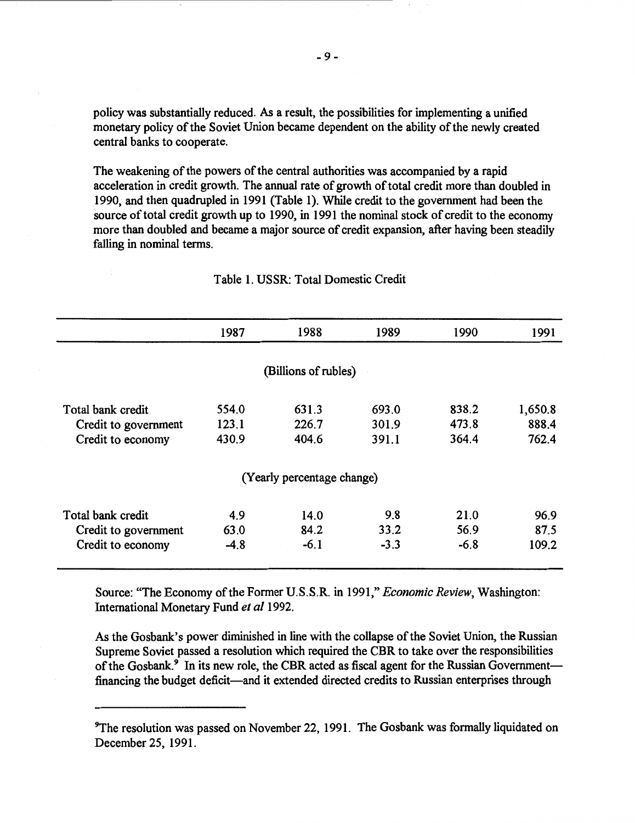policy was substantially reduced. As a result, the possibilities for implementing a unified monetary policy of the Soviet Union became dependent on the ability of the newly created central banks to cooperate.

The weakening of the powers of the central authorities was accompanied by a rapid acceleration in credit growth. The annual rate of growth of total credit more than doubled in 1990, and then quadrupled in 1991 (Table 1). While credit to the government had been the source of total credit growth up to 1990, in 1991 the nominal stock of credit to the economy more than doubled and became a major source of credit expansion, after having been steadily falling in nominal terms.

|                      | 1987   | 1988                       | 1989   | 1990   | 1991    |
|----------------------|--------|----------------------------|--------|--------|---------|
|                      |        |                            |        |        |         |
|                      |        | (Billions of rubles)       |        |        |         |
| Total bank credit    | 554.0  | 631.3                      | 693.0  | 838.2  | 1,650.8 |
| Credit to government | 123.1  | 226.7                      | 301.9  | 473.8  | 888.4   |
| Credit to economy    | 430.9  | 404.6                      | 391.1  | 364.4  | 762.4   |
|                      |        | (Yearly percentage change) |        |        |         |
| Total bank credit    | 4.9    | 14.0                       | 9.8    | 21.0   | 96.9    |
| Credit to government | 63.0   | 84.2                       | 33.2   | 56.9   | 87.5    |
| Credit to economy    | $-4.8$ | $-6.1$                     | $-3.3$ | $-6.8$ | 109.2   |

### Table 1. USSR: Total Domestic Credit

Source: "The Economy of the Former U.S.S.R. in 1991," *Economic Review,* Washington: International Monetary Fund *et al* 1992.

As the Gosbank's power diminished in line with the collapse of the Soviet Union, the Russian Supreme Soviet passed a resolution which required the CBR to take over the responsibilities of the Gosbank. $\overline{9}$  In its new role, the CBR acted as fiscal agent for the Russian Governmentfinancing the budget deficit—and it extended directed credits to Russian enterprises through

<sup>&</sup>lt;sup>9</sup>The resolution was passed on November 22, 1991. The Gosbank was formally liquidated on December 25, 1991.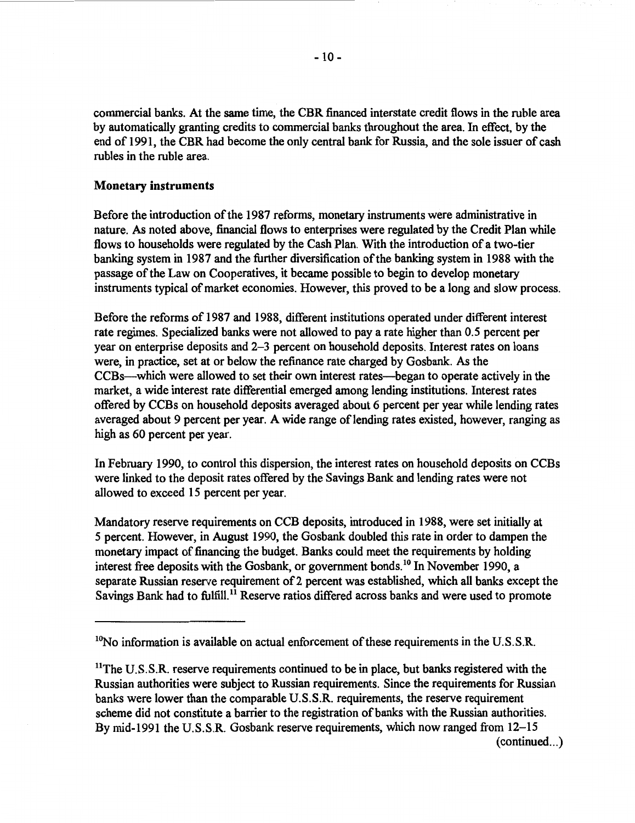commercial banks. At the same time, the CBR financed interstate credit flows in the ruble area by automatically granting credits to commercial banks throughout the area. In effect, by the end of 1991, the CBR had become the only central bank for Russia, and the sole issuer of cash rubles in the ruble area.

# **Monetary instruments**

Before the introduction of the 1987 reforms, monetary instruments were administrative in nature. As noted above, financial flows to enterprises were regulated by the Credit Plan while flows to households were regulated by the Cash Plan. With the introduction of a two-tier banking system in 1987 and the further diversification of the banking system in 1988 with the passage of the Law on Cooperatives, it became possible to begin to develop monetary instruments typical of market economies. However, this proved to be a long and slow process.

Before the reforms of 1987 and 1988, different institutions operated under different interest rate regimes. Specialized banks were not allowed to pay a rate higher than 0.5 percent per year on enterprise deposits and 2-3 percent on household deposits. Interest rates on loans were, in practice, set at or below the refinance rate charged by Gosbank. As the CCBs-which were allowed to set their own interest rates-began to operate actively in the market, a wide interest rate differential emerged among lending institutions. Interest rates offered by CCBs on household deposits averaged about 6 percent per year while lending rates averaged about 9 percent per year. A wide range of lending rates existed, however, ranging as high as 60 percent per year.

In February 1990, to control this dispersion, the interest rates on household deposits on CCBs were linked to the deposit rates offered by the Savings Bank and lending rates were not allowed to exceed 15 percent per year.

Mandatory reserve requirements on CCB deposits, introduced in 1988, were set initially at 5 percent. However, in August 1990, the Gosbank doubled this rate in order to dampen the monetary impact of financing the budget. Banks could meet the requirements by holding interest free deposits with the Gosbank, or government bonds. 10 In November 1990, a separate Russian reserve requirement of 2 percent was established, which all banks except the Savings Bank had to fulfill.<sup>11</sup> Reserve ratios differed across banks and were used to promote

<sup>&</sup>lt;sup>10</sup>No information is available on actual enforcement of these requirements in the U.S.S.R.

<sup>&</sup>lt;sup>11</sup>The U.S.S.R. reserve requirements continued to be in place, but banks registered with the Russian authorities were subject to Russian requirements. Since the requirements for Russian banks were lower than the comparable U.S.S.R. requirements, the reserve requirement scheme did not constitute a barrier to the registration of banks with the Russian authorities. By mid-1991 the U.S.S.R. Gosbank reserve requirements, which now ranged from 12–15  $(continued...)$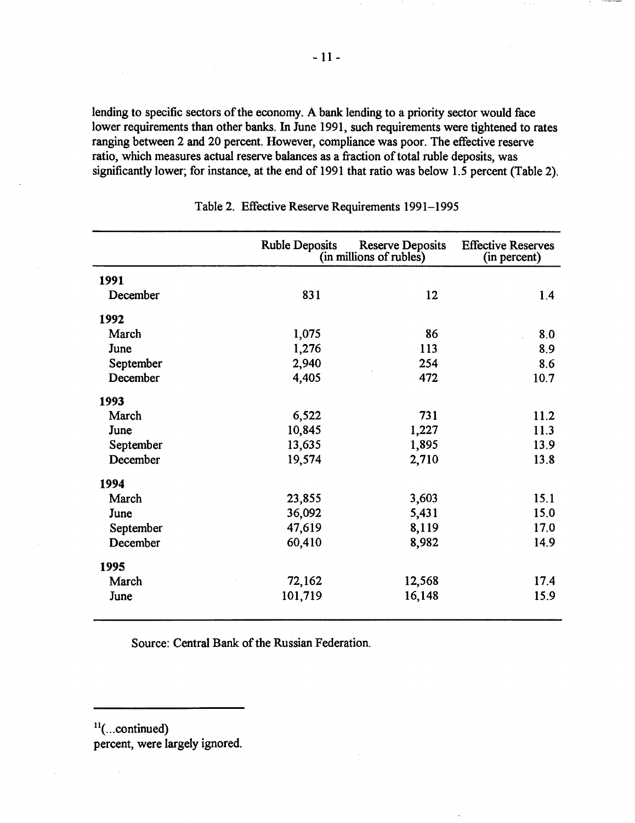lending to specific sectors of the economy. A bank lending to a priority sector would face lower requirements than other banks. In June 1991, such requirements were tightened to rates ranging between 2 and 20 percent. However, compliance was poor. The effective reserve ratio, which measures actual reserve balances as a fraction of total ruble deposits, was significantly lower; for instance, at the end of 1991 that ratio was below 1.5 percent (Table 2).

|           | <b>Ruble Deposits</b> | <b>Reserve Deposits</b><br>(in millions of rubles) |      |  |  |
|-----------|-----------------------|----------------------------------------------------|------|--|--|
| 1991      |                       |                                                    |      |  |  |
| December  | 831                   | 12                                                 | 1.4  |  |  |
| 1992      |                       |                                                    |      |  |  |
| March     | 1,075                 | 86                                                 | 8.0  |  |  |
| June      | 1,276                 | 113                                                | 8.9  |  |  |
| September | 2,940                 | 254                                                | 8.6  |  |  |
| December  | 4,405                 | 472                                                | 10.7 |  |  |
| 1993      |                       |                                                    |      |  |  |
| March     | 6,522                 | 731                                                | 11.2 |  |  |
| June      | 10,845                | 1,227                                              | 11.3 |  |  |
| September | 13,635                | 1,895                                              | 13.9 |  |  |
| December  | 19,574                | 2,710                                              | 13.8 |  |  |
| 1994      |                       |                                                    |      |  |  |
| March     | 23,855                | 3,603                                              | 15.1 |  |  |
| June      | 36,092                | 5,431                                              | 15.0 |  |  |
| September | 47,619                | 8,119                                              | 17.0 |  |  |
| December  | 60,410                | 8,982                                              | 14.9 |  |  |
| 1995      |                       |                                                    |      |  |  |
| March     | 72,162                | 12,568                                             | 17.4 |  |  |
| June      | 101,719               | 16,148                                             | 15.9 |  |  |

Table 2. Effective Reserve Requirements 1991-1995

Source: Central Bank of the Russian Federation.

 $11$ (... continued)

percent, were largely ignored.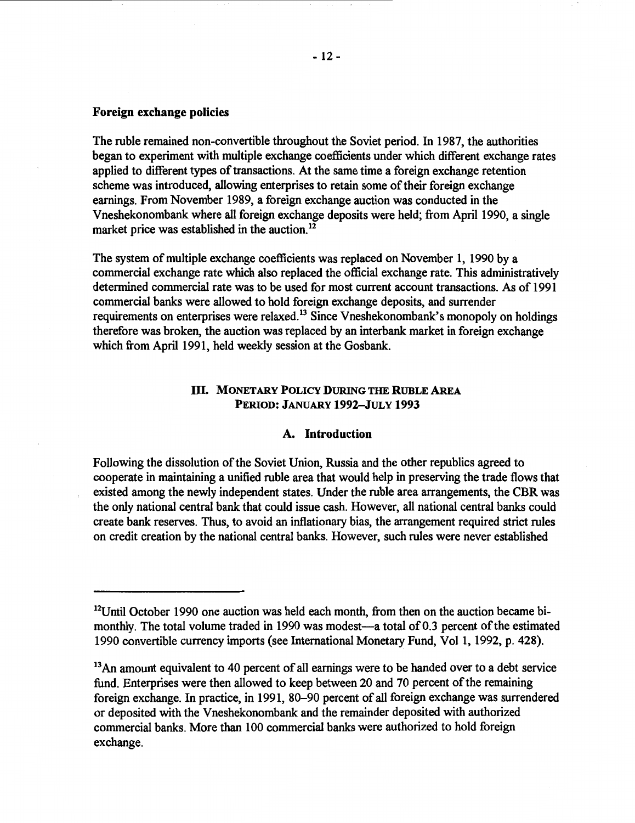# **Foreign exchange policies**

The ruble remained non-convertible throughout the Soviet period. In 1987, the authorities began to experiment with multiple exchange coefficients under which different exchange rates applied to different types of transactions. At the same time a foreign exchange retention scheme was introduced, allowing enterprises to retain some of their foreign exchange earnings. From November 1989, a foreign exchange auction was conducted in the Vneshekonombank where all foreign exchange deposits were held; from April 1990, a single market price was established in the auction.<sup>12</sup>

The system of multiple exchange coefficients was replaced on November 1, 1990 by a commercial exchange rate which also replaced the official exchange rate. This administratively determined commercial rate was to be used for most current account transactions. As of 1991 commercial banks were allowed to hold foreign exchange deposits, and surrender requirements on enterprises were relaxed.<sup>13</sup> Since Vneshekonombank's monopoly on holdings therefore was broken, the auction was replaced by an interbank market in foreign exchange which from April 1991, held weekly session at the Gosbank.

# ill. **MONETARY POLICY DURING THE RUBLE AREA PERIOD: JANUARY 1992-JULY 1993**

#### **A. Introduction**

Following the dissolution of the Soviet Union, Russia and the other republics agreed to cooperate in maintaining a unified ruble area that would help in preserving the trade flows that existed among the newly independent states. Under the ruble area arrangements, the CBR was the only national central bank that could issue cash. However, all national central banks could create bank reserves. Thus, to avoid an inflationary bias, the arrangement required strict rules on credit creation by the national central banks. However, such rules were never established

 $12$ Until October 1990 one auction was held each month, from then on the auction became bimonthly. The total volume traded in 1990 was modest—a total of 0.3 percent of the estimated 1990 convertible currency imports (see International Monetary Fund, Vol 1, 1992, p. 428).

<sup>&</sup>lt;sup>13</sup> An amount equivalent to 40 percent of all earnings were to be handed over to a debt service fund. Enterprises were then allowed to keep between 20 and 70 percent of the remaining foreign exchange. In practice, in 1991, 80-90 percent of all foreign exchange was surrendered or deposited with the Vneshekonombank and the remainder deposited with authorized commercial banks. More than 100 commercial banks were authorized to hold foreign exchange.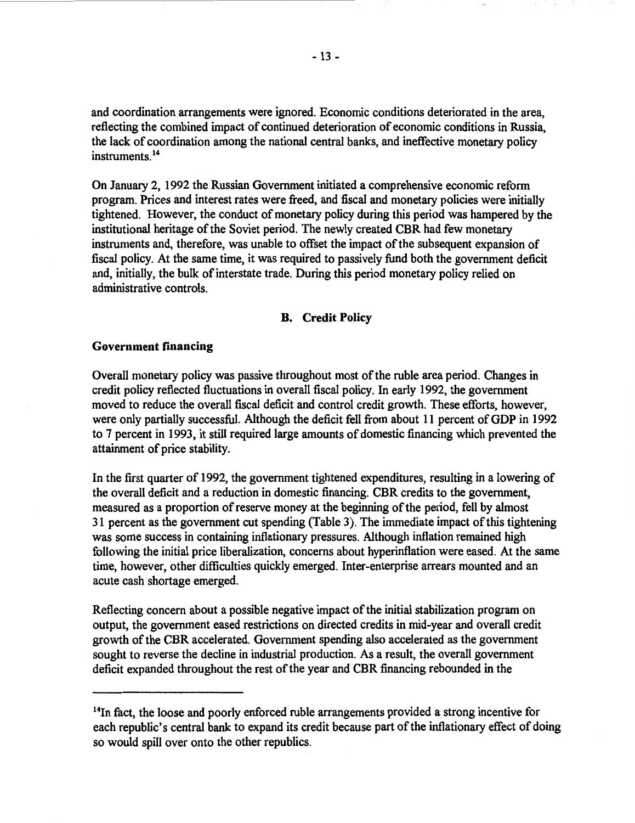and coordination arrangements were ignored. Economic conditions deteriorated in the area, reflecting the combined impact of continued deterioration of economic conditions in Russia, the lack of coordination among the national central banks, and ineffective monetary policy instruments.<sup>14</sup>

On January 2, 1992 the Russian Government initiated a comprehensive economic reform program. Prices and interest rates were freed, and fiscal and monetary policies were initially tightened. However, the conduct of monetary policy during this period was hampered by the institutional heritage of the Soviet period. The newly created CBR had few monetary instruments and, therefore, was unable to offset the impact of the subsequent expansion of fiscal policy. At the same time, it was required to passively fund both the government deficit and, initially, the bulk of interstate trade. During this period monetary policy relied on administrative controls.

# **B. Credit Policy**

# **Government financing**

Overall monetary policy was passive throughout most of the ruble area period. Changes in credit policy reflected fluctuations in overall fiscal policy. In early 1992, the government moved to reduce the overall fiscal deficit and control credit growth. These efforts, however, were only partially successful. Although the deficit fell from about 11 percent of GDP in 1992 to 7 percent in 1993, it still required large amounts of domestic financing which prevented the attainment of price stability.

In the first quarter of 1992, the government tightened expenditures, resulting in a lowering of the overall deficit and a reduction in domestic financing. CBR credits to the government, measured as a proportion of reserve money at the beginning of the period, fell by almost 31 percent as the government cut spending (Table 3). The immediate impact of this tightening was some success in containing inflationary pressures. Although inflation remained high following the initial price liberalization, concerns about hyperinflation were eased. At the same time, however, other difficulties quickly emerged. Inter-enterprise arrears mounted and an acute cash shortage emerged.

Reflecting concern about a possible negative impact of the initial stabilization program on output, the government eased restrictions on directed credits in mid-year and overall credit growth of the CBR accelerated. Government spending also accelerated as the government sought to reverse the decline in industrial production. As a result, the overall government deficit expanded throughout the rest of the year and CBR financing rebounded in the

<sup>&</sup>lt;sup>14</sup>In fact, the loose and poorly enforced ruble arrangements provided a strong incentive for each republic's central bank to expand its credit because part of the inflationary effect of doing so would spill over onto the other republics.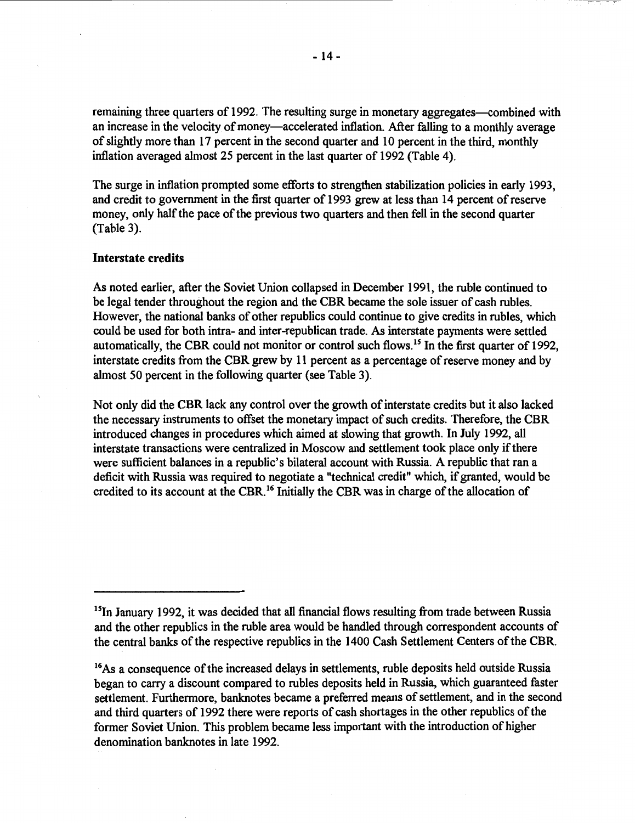remaining three quarters of 1992. The resulting surge in monetary aggregates—combined with an increase in the velocity of money—accelerated inflation. After falling to a monthly average of slightly more than 17 percent in the second quarter and 10 percent in the third, monthly inflation averaged almost 25 percent in the last quarter of 1992 (Table 4).

The surge in inflation prompted some efforts to strengthen stabilization policies in early 1993, and credit to government in the first quarter of 1993 grew at less than 14 percent of reserve money, only half the pace of the previous two quarters and then fell in the second quarter (Table 3).

# **Interstate credits**

As noted earlier, after the Soviet Union collapsed in December 1991, the ruble continued to be legal tender throughout the region and the CBR became the sole issuer of cash rubles. However, the national banks of other republics could continue to give credits in rubles, which could be used for both intra- and inter-republican trade. As interstate payments were settled automatically, the CBR could not monitor or control such flows.<sup>15</sup> In the first quarter of 1992 interstate credits from the CBR grew by 11 percent as a percentage of reserve money and by almost 50 percent in the following quarter (see Table 3).

Not only did the CBR lack any control over the growth of interstate credits but it also lacked the necessary instruments to offset the monetary impact of such credits. Therefore, the CBR introduced changes in procedures which aimed at slowing that growth. In July 1992, all interstate transactions were centralized in Moscow and settlement took place only if there were sufficient balances in a republic's bilateral account with Russia. A republic that ran a deficit with Russia was required to negotiate a "technical credit" which, if granted, would be credited to its account at the CBR.16 Initially the CBR was in charge of the allocation of

 $15$ In January 1992, it was decided that all financial flows resulting from trade between Russia and the other republics in the ruble area would be handled through correspondent accounts of the central banks of the respective republics in the 1400 Cash Settlement Centers of the CBR.

<sup>&</sup>lt;sup>16</sup>As a consequence of the increased delays in settlements, ruble deposits held outside Russia began to carry a discount compared to rubles deposits held in Russia, which guaranteed faster settlement. Furthermore, banknotes became a preferred means of settlement, and in the second and third quarters of 1992 there were reports of cash shortages in the other republics of the former Soviet Union. This problem became less important with the introduction of higher denomination banknotes in late 1992.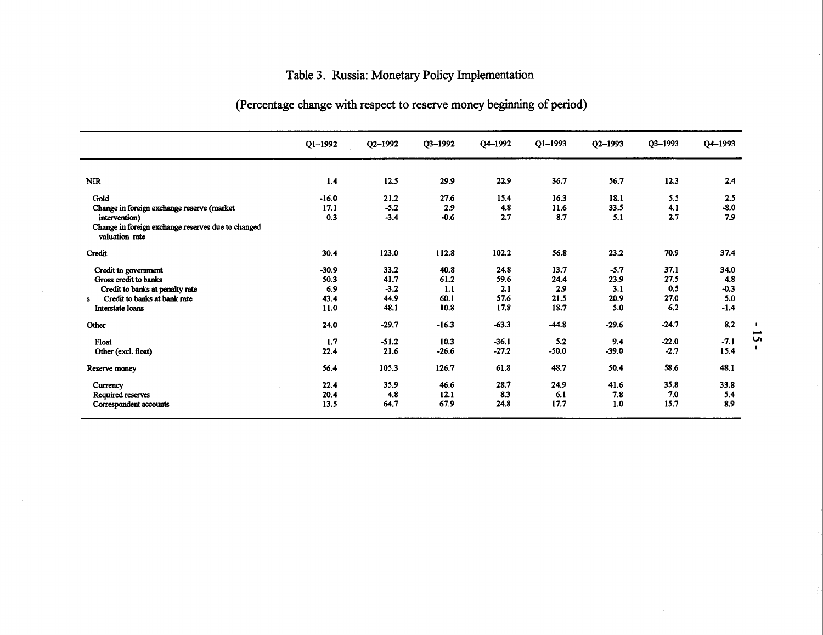# Table 3. Russia: Monetary Policy Implementation

|                                                                      | $Q1 - 1992$ | Q2-1992 | Q3-1992 | Q4-1992 | $Q1 - 1993$ | Q2-1993 | Q3-1993 | Q4-1993 |
|----------------------------------------------------------------------|-------------|---------|---------|---------|-------------|---------|---------|---------|
| <b>NIR</b>                                                           | 1.4         | 12.5    | 29.9    | 22.9    | 36.7        | 56.7    | 12.3    | 2.4     |
| Gold                                                                 | $-16.0$     | 21.2    | 27.6    | 15.4    | 16.3        | 18.1    | 5.5     | 2.5     |
| Change in foreign exchange reserve (market                           | 17.1        | $-5.2$  | 2.9     | 4.8     | 11.6        | 33.5    | 4.1     | $-8.0$  |
| intervention)                                                        | 0.3         | $-3.4$  | $-0.6$  | 2.7     | 8.7         | 5.1     | 2.7     | 7.9     |
| Change in foreign exchange reserves due to changed<br>valuation rate |             |         |         |         |             |         |         |         |
| Credit                                                               | 30.4        | 123.0   | 112.8   | 102.2   | 56.8        | 23.2    | 70.9    | 37.4    |
| Credit to government                                                 | $-30.9$     | 33.2    | 40.8    | 24.8    | 13.7        | $-5.7$  | 37.1    | 34.0    |
| Gross credit to banks                                                | 50.3        | 41.7    | 61.2    | 59.6    | 24.4        | 23.9    | 27.5    | 4.8     |
| Credit to banks at penalty rate                                      | 6.9         | $-3.2$  | 1.1     | 2.1     | 2.9         | 3.1     | 0.5     | $-0.3$  |
| Credit to banks at bank rate<br>s                                    | 43.4        | 44.9    | 60.1    | 57.6    | 21.5        | 20.9    | 27.0    | 5.0     |
| Interstate loans                                                     | 11.0        | 48.1    | 10.8    | 17.8    | 18.7        | 5.0     | 6.2     | $-1.4$  |
| Other                                                                | 24.0        | $-29.7$ | $-16.3$ | $-63.3$ | $-44.8$     | $-29.6$ | $-24.7$ | 8.2     |
| Float                                                                | 1.7         | $-51.2$ | 10.3    | $-36.1$ | 5.2         | 9.4     | $-22.0$ | $-7.1$  |
| Other (excl. float)                                                  | 22.4        | 21.6    | $-26.6$ | $-27.2$ | $-50.0$     | $-39.0$ | $-2.7$  | 15.4    |
| Reserve money                                                        | 56.4        | 105.3   | 126.7   | 61.8    | 48.7        | 50.4    | 58.6    | 48.1    |
| Currency                                                             | 22.4        | 35.9    | 46.6    | 28.7    | 24.9        | 41.6    | 35.8    | 33.8    |
| Required reserves                                                    | 20.4        | 4.8     | 12.1    | 8.3     | 6.1         | 7.8     | 7.0     | 5.4     |
| Correspondent accounts                                               | 13.5        | 64.7    | 67.9    | 24.8    | 17.7        | 1.0     | 15.7    | 8.9     |
|                                                                      |             |         |         |         |             |         |         |         |

# (Percentage change with respect to reserve money beginning of period)

 $\mathbf{L}$  $\overline{\phantom{0}}$ *Vi*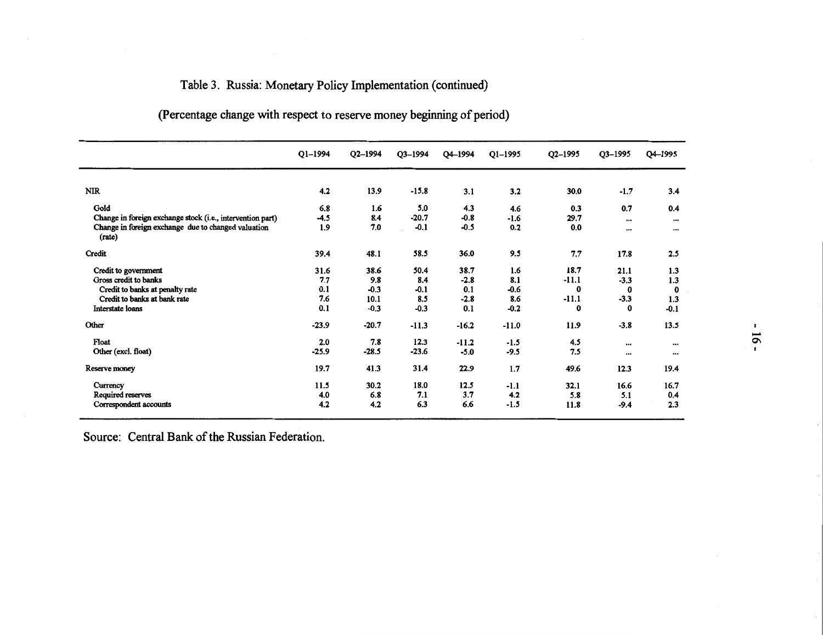# Table 3. Russia: Monetary Policy Implementation ( continued)

|                                                               | Q1-1994 | Q2-1994 | Q3-1994 | Q4-1994 | $Q1 - 1995$ | $Q2 - 1995$ | Q3-1995  | Q4-1995                             |
|---------------------------------------------------------------|---------|---------|---------|---------|-------------|-------------|----------|-------------------------------------|
| <b>NIR</b>                                                    | 4.2     | 13.9    | $-15.8$ | 3.1     | 3.2         | 30.0        | $-1.7$   | 3.4                                 |
| Gold                                                          | 6.8     | 1.6     | 5.0     | 4.3     | 4.6         | 0.3         | 0.7      | 0.4                                 |
| Change in foreign exchange stock (i.e., intervention part)    | $-4.5$  | 8.4     | $-20.7$ | $-0.8$  | $-1.6$      | 29.7        | $\cdots$ |                                     |
| Change in foreign exchange due to changed valuation<br>(rate) | 1.9     | 7.0     | $-0.1$  | $-0.5$  | 0.2         | 0.0         | $\cdots$ | $\cdots$<br>$\bullet\bullet\bullet$ |
| Credit                                                        | 39.4    | 48.1    | 58.5    | 36.0    | 9.5         | 7.7         | 17.8     | 2.5                                 |
| Credit to government                                          | 31.6    | 38.6    | 50.4    | 38.7    | 1.6         | 18.7        | 21.1     | 1.3                                 |
| Gross credit to banks                                         | 7.7     | 9.8     | 8.4     | $-2.8$  | 8.1         | $-11.1$     | $-3.3$   | 1.3                                 |
| Credit to banks at penalty rate                               | 0.1     | $-0.3$  | $-0.1$  | 0.1     | $-0.6$      | $\bf{0}$    | $\bf{0}$ | $\bf{0}$                            |
| Credit to banks at bank rate                                  | 7.6     | 10.1    | 8.5     | $-2.8$  | 8.6         | $-11.1$     | $-3.3$   | 1.3                                 |
| Interstate loans                                              | 0.1     | $-0.3$  | $-0.3$  | 0.1     | $-0.2$      | 0           | $\bf{0}$ | $-0.1$                              |
| Other                                                         | $-23.9$ | $-20.7$ | $-11.3$ | $-16.2$ | $-11.0$     | 11.9        | $-3.8$   | 13.5                                |
| Float                                                         | 2.0     | 7.8     | 12.3    | $-11.2$ | $-1.5$      | 4.5         | $\cdots$ | $\bullet\bullet\bullet$             |
| Other (excl. float)                                           | $-25.9$ | $-28.5$ | $-23.6$ | $-5.0$  | $-9.5$      | 7.5         | $\cdots$ | $\cdots$                            |
| Reserve money                                                 | 19.7    | 41.3    | 31.4    | 22.9    | 1.7         | 49.6        | 12.3     | 19.4                                |
| Currency                                                      | 11.5    | 30.2    | 18.0    | 12.5    | $-1.1$      | 32.1        | 16.6     | 16.7                                |
| Required reserves                                             | 4.0     | 6.8     | 7.1     | 3.7     | 4.2         | 5.8         | 5.1      | 0.4                                 |
| Correspondent accounts                                        | 4.2     | 4.2     | 6.3     | 6.6     | $-1.5$      | 11.8        | $-9.4$   | 2.3                                 |

(Percentage change with respect to reserve money beginning of period)

Source: Central Bank of the Russian Federation.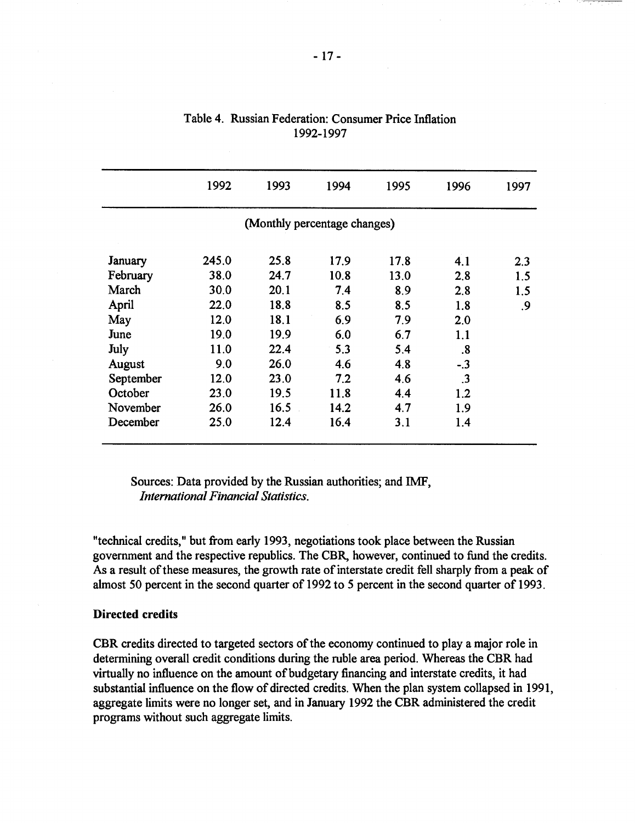|           | 1992  | 1993                         | 1994 | 1995 | 1996              | 1997 |
|-----------|-------|------------------------------|------|------|-------------------|------|
|           |       | (Monthly percentage changes) |      |      |                   |      |
| January   | 245.0 | 25.8                         | 17.9 | 17.8 | 4.1               | 2.3  |
| February  | 38.0  | 24.7                         | 10.8 | 13.0 | 2.8               | 1.5  |
| March     | 30.0  | 20.1                         | 7.4  | 8.9  | 2.8               | 1.5  |
| April     | 22.0  | 18.8                         | 8.5  | 8.5  | 1.8               | 9.   |
| May       | 12.0  | 18.1                         | 6.9  | 7.9  | 2.0               |      |
| June      | 19.0  | 19.9                         | 6.0  | 6.7  | 1.1               |      |
| July      | 11.0  | 22.4                         | 5.3  | 5.4  | $\boldsymbol{.8}$ |      |
| August    | 9.0   | 26.0                         | 4.6  | 4.8  | $-.3$             |      |
| September | 12.0  | 23.0                         | 7.2  | 4.6  | $\cdot$ 3         |      |
| October   | 23.0  | 19.5                         | 11.8 | 4.4  | 1.2               |      |
| November  | 26.0  | 16.5                         | 14.2 | 4.7  | 1.9               |      |
| December  | 25.0  | 12.4                         | 16.4 | 3.1  | 1.4               |      |

| Table 4. Russian Federation: Consumer Price Inflation |
|-------------------------------------------------------|
| 1992-1997                                             |

Sources: Data provided by the Russian authorities; and IMF, *International Financial Statistics.* 

"technical credits," but from early 1993, negotiations took place between the Russian government and the respective republics. The CBR, however, continued to fund the credits. As a result of these measures, the growth rate of interstate credit fell sharply from a peak of almost 50 percent in the second quarter of 1992 to *5* percent in the second quarter of 1993.

# **Directed credits**

CBR credits directed to targeted sectors of the economy continued to play a major role in determining overall credit conditions during the ruble area period. Whereas the CBR had virtually no influence on the amount of budgetary financing and interstate credits, it had substantial influence on the flow of directed credits. When the plan system collapsed in 1991, aggregate limits were no longer set, and in January 1992 the CBR administered the credit programs without such aggregate limits.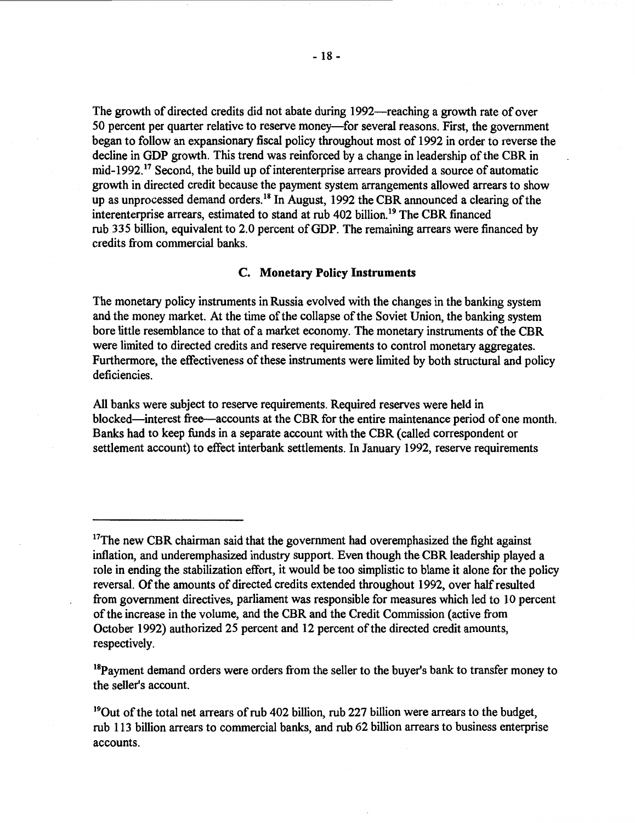The growth of directed credits did not abate during 1992—reaching a growth rate of over 50 percent per quarter relative to reserve money—for several reasons. First, the government began to follow an expansionary fiscal policy throughout most of 1992 in order to reverse the decline in GDP growth. This trend was reinforced by a change in leadership of the CBR in mid-1992.<sup>17</sup> Second, the build up of interenterprise arrears provided a source of automatic growth in directed credit because the payment system arrangements allowed arrears to show up as unprocessed demand orders.<sup>18</sup> In August, 1992 the CBR announced a clearing of the interenterprise arrears, estimated to stand at rub  $402$  billion<sup>19</sup> The CBR financed rub 335 billion, equivalent to 2.0 percent of GDP. The remaining arrears were financed by credits from commercial banks.

### **C. Monetary Policy Instruments**

The monetary policy instruments in Russia evolved with the changes in the banking system and the money market. At the time of the collapse of the Soviet Union, the banking system bore little resemblance to that of a market economy. The monetary instruments of the CBR were limited to directed credits and reserve requirements to control monetary aggregates Furthermore, the effectiveness of these instruments were limited by both structural and policy deficiencies.

All banks were subject to reserve requirements. Required reserves were held in blocked-interest free--accounts at the CBR for the entire maintenance period of one month. Banks had to keep funds in a separate account with the CBR ( called correspondent or settlement account) to effect interbank settlements. In January 1992, reserve requirements

 $18P$ ayment demand orders were orders from the seller to the buyer's bank to transfer money to the seller's account.

<sup>19</sup>Out of the total net arrears of rub 402 billion, rub 227 billion were arrears to the budget, rub 113 billion arrears to commercial banks, and rub 62 billion arrears to business enterprise accounts.

<sup>&</sup>lt;sup>17</sup>The new CBR chairman said that the government had overemphasized the fight against inflation, and underemphasized industry support. Even though the CBR leadership played a role in ending the stabilization effort, it would be too simplistic to blame it alone for the policy reversal. Of the amounts of directed credits extended throughout 1992, over half resulted from government directives, parliament was responsible for measures which led to 10 percent of the increase in the volume, and the CBR and the Credit Commission ( active from October 1992) authorized 25 percent and 12 percent of the directed credit amounts, respectively.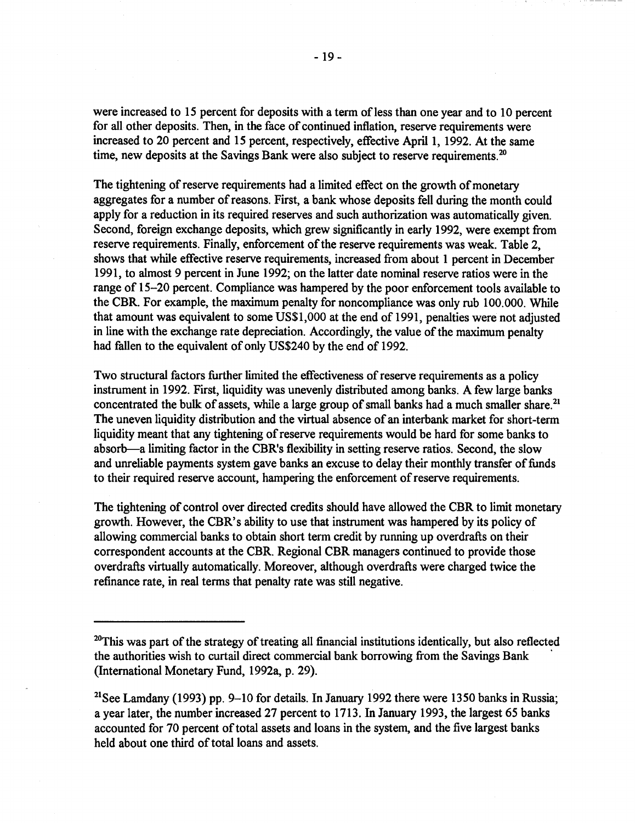were increased to 15 percent for deposits with a term of less than one year and to 10 percent for all other deposits. Then, in the face of continued inflation, reserve requirements were increased to 20 percent and 15 percent, respectively, effective April 1, 1992. At the same time, new deposits at the Savings Bank were also subject to reserve requirements.<sup>20</sup>

The tightening of reserve requirements had a limited effect on the growth of monetary aggregates for a number of reasons. First, a bank whose deposits fell during the month could apply for a reduction in its required reserves and such authorization was automatically given. Second, foreign exchange deposits, which grew significantly in early 1992, were exempt from reserve requirements. Finally, enforcement of the reserve requirements was weak. Table 2, shows that while effective reserve requirements, increased from about 1 percent in December 1991, to almost 9 percent in June 1992; on the latter date nominal reserve ratios were in the range of 15-20 percent. Compliance was hampered by the poor enforcement tools available to the CBR. For example, the maximum penalty for noncompliance was only rub 100.000. While that amount was equivalent to some US\$1,000 at the end of 1991, penalties were not adjusted in line with the exchange rate depreciation. Accordingly, the value of the maximum penalty had fallen to the equivalent of only US\$240 by the end of 1992.

Two structural factors further limited the effectiveness of reserve requirements as a policy instrument in 1992. First, liquidity was unevenly distributed among banks. A few large banks concentrated the bulk of assets, while a large group of small banks had a much smaller share.<sup>21</sup> The uneven liquidity distribution and the virtual absence of an interbank market for short-term liquidity meant that any tightening of reserve requirements would be hard for some banks to absorb-a limiting factor in the CBR's flexibility in setting reserve ratios. Second, the slow and unreliable payments system gave banks an excuse to delay their monthly transfer of funds to their required reserve account, hampering the enforcement of reserve requirements.

The tightening of control over directed credits should have allowed the CBR to limit monetary growth. However, the CBR's ability to use that instrument was hampered by its policy of allowing commercial banks to obtain short term credit by running up overdrafts on their correspondent accounts at the CBR. Regional CBR managers continued to provide those overdrafts virtually automatically. Moreover, although overdrafts were charged twice the refinance rate, in real terms that penalty rate was still negative.

<sup>&</sup>lt;sup>20</sup>This was part of the strategy of treating all financial institutions identically, but also reflected the authorities wish to curtail direct commercial bank borrowing from the Savings Bank • (International Monetary Fund, 1992a, p. 29).

<sup>&</sup>lt;sup>21</sup>See Lamdany (1993) pp. 9–10 for details. In January 1992 there were 1350 banks in Russia; a year later, the number increased 27 percent to 1713. In January 1993, the largest 65 banks accounted for 70 percent of total assets and loans in the system, and the five largest banks held about one third of total loans and assets.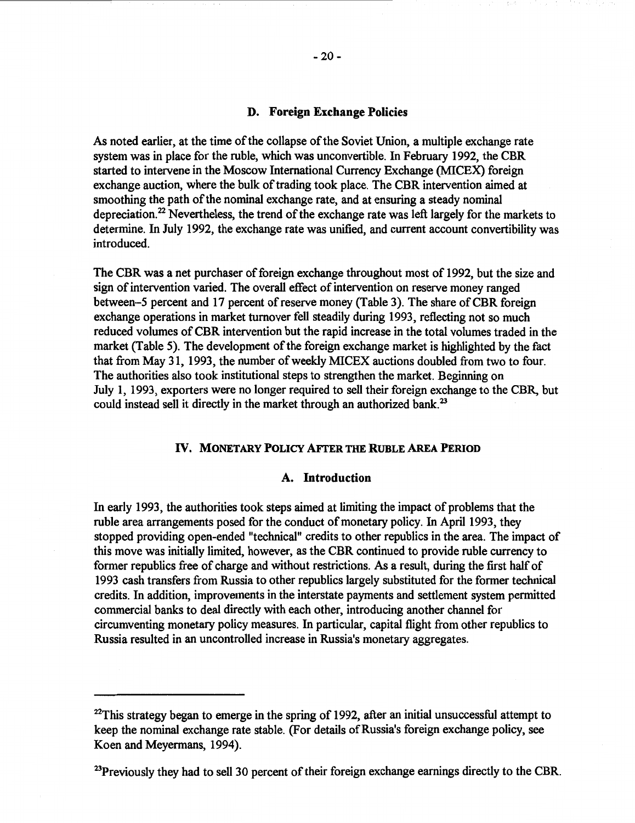# **D. Foreign Exchange Policies**

As noted earlier, at the time of the collapse of the Soviet Union, a multiple exchange rate system was in place for the ruble, which was unconvertible. In February 1992, the CBR started to intervene in the Moscow International Currency Exchange (MICEX) foreign exchange auction, where the bulk of trading took place. The CBR intervention aimed at smoothing the path of the nominal exchange rate, and at ensuring a steady nominal depreciation.<sup>22</sup> Nevertheless, the trend of the exchange rate was left largely for the markets to determine. In July 1992, the exchange rate was unified, and current account convertibility was introduced.

The CBR was a net purchaser of foreign exchange throughout most of 1992, but the size and sign of intervention varied. The overall effect of intervention on reserve money ranged between-5 percent and 17 percent of reserve money (Table 3). The share of CBR foreign exchange operations in market turnover fell steadily during 1993, reflecting not so much reduced volumes of CBR intervention but the rapid increase in the total volumes traded in the market (Table 5). The development of the foreign exchange market is highlighted by the fact that from May 31, 1993, the number of weekly MICEX auctions doubled from two to four. The authorities also took institutional steps to strengthen the market. Beginning on July 1, 1993, exporters were no longer required to sell their foreign exchange to the CBR, but could instead sell it directly in the market through an authorized bank.<sup>23</sup>

# IV. **MONETARY POLICY AFTER THE RUBLE AREA PERIOD**

# **A. Introduction**

In early 1993, the authorities took steps aimed at limiting the impact of problems that the ruble area arrangements posed for the conduct of monetary policy. In April 1993, they stopped providing open-ended "technical" credits to other republics in the area. The impact of this move was initially limited, however, as the CBR continued to provide ruble currency to former republics free of charge and without restrictions. As a result, during the first half of 1993 cash transfers from Russia to other republics largely substituted for the former technical credits. In addition, improvements in the interstate payments and settlement system permitted commercial banks to deal directly with each other, introducing another channel for circumventing monetary policy measures. In particular, capital flight from other republics to Russia resulted in an uncontrolled increase in Russia's monetary aggregates.

<sup>23</sup>Previously they had to sell 30 percent of their foreign exchange earnings directly to the CBR.

 $^{22}$ This strategy began to emerge in the spring of 1992, after an initial unsuccessful attempt to keep the nominal exchange rate stable. (For details of Russia's foreign exchange policy, see Koen and Meyermans, 1994).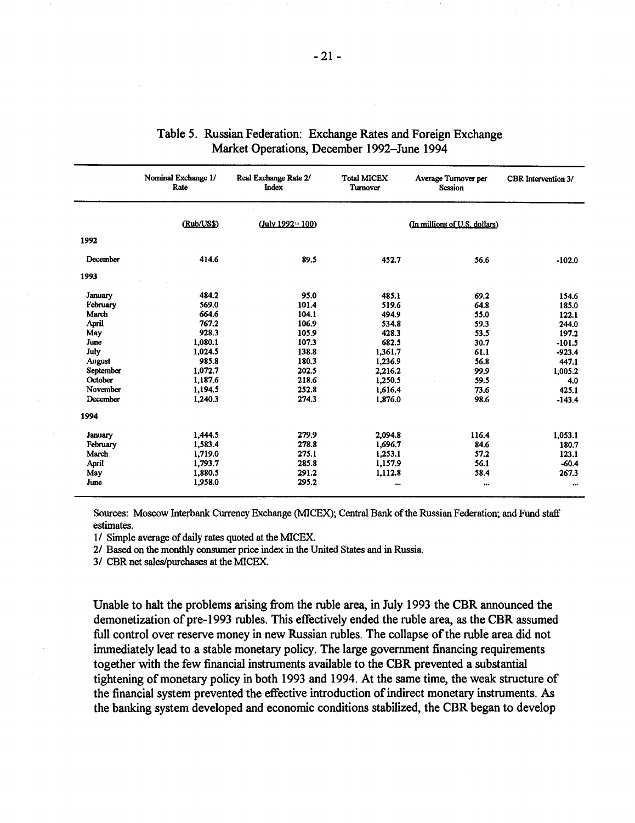|           | Nominal Exchange 1/<br>Rate | Real Exchange Rate 2/<br>Index | <b>Total MICEX</b><br>Turnover | Average Turnover per<br><b>Session</b> | CBR Intervention 3/ |
|-----------|-----------------------------|--------------------------------|--------------------------------|----------------------------------------|---------------------|
|           | (Rub/US\$)                  | $(July 1992 = 100)$            |                                | (In millions of U.S. dollars)          |                     |
| 1992      |                             |                                |                                |                                        |                     |
| December  | 414.6                       | 89.5                           | 452.7                          | 56.6                                   | $-102.0$            |
| 1993      |                             |                                |                                |                                        |                     |
| January   | 484.2                       | 95.0                           | 485.1                          | 69.2                                   | 154.6               |
| February  | 569.0                       | 101.4                          | 519.6                          | 64.8                                   | 185.0               |
| March     | 664.6                       | 104.1                          | 494.9                          | 55.0                                   | 122.1               |
| April     | 767.2                       | 106.9                          | 534.8                          | 59.3                                   | 244.0               |
| May       | 928.3                       | 105.9                          | 428.3                          | 53.5                                   | 197.2               |
| June      | 1,080.1                     | 107.3                          | 682.5                          | 30.7                                   | $-101.5$            |
| July      | 1,024.5                     | 138.8                          | 1,361.7                        | 61.1                                   | $-923.4$            |
| August    | 985.8                       | 180.3                          | 1,236.9                        | 56.8                                   | 447.1               |
| September | 1.072.7                     | 202.5                          | 2.216.2                        | 99.9                                   | 1.005.2             |
| October   | 1,187.6                     | 218.6                          | 1,250.5                        | 59.5                                   | 4.0                 |
| November  | 1.194.5                     | 252.8                          | 1,616.4                        | 73.6                                   | 425.1               |
| December  | 1,240.3                     | 274.3                          | 1.876.0                        | 98.6                                   | $-143.4$            |
| 1994      |                             |                                |                                |                                        |                     |
| January   | 1,444.5                     | 279.9                          | 2,094.8                        | 116.4                                  | 1,053.1             |
| February  | 1,583.4                     | 278.8                          | 1,696.7                        | 84.6                                   | 180.7               |
| March     | 1,719.0                     | 275.1                          | 1,253.1                        | 57.2                                   | 123.1               |
| April     | 1,793.7                     | 285.8                          | 1,157.9                        | 56.1                                   | $-60.4$             |
| May       | 1.880.5                     | 291.2                          | 1,112.8                        | 58.4                                   | 267.3               |
| June      | 1,958.0                     | 295.2                          |                                |                                        |                     |

# Table 5. Russian Federation: Exchange Rates and Foreign Exchange Market Operations, December 1992-June 1994

Sources: Moscow Interbank Currency Exchange (MICEX); Central Bank of the Russian Federation; and Fund staff estimates.

1/ Simple average of daily rates quoted at the MICEX.

2/ Based on the monthly consumer price index in the United States and in Russia.

3/ CBR net sales/purchases at the MICEX.

Unable to halt the problems arising from the ruble area, in July 1993 the CBR announced the demonetization of pre-1993 rubles. This effectively ended the ruble area, as the CBR assumed full control over reserve money in new Russian rubles. The collapse of the ruble area did not immediately lead to a stable monetary policy. The large government financing requirements together with the few financial instruments available to the CBR prevented a substantial tightening of monetary policy in both 1993 and 1994. At the same time, the weak structure of the financial system prevented the effective introduction of indirect monetary instruments. As the banking system developed and economic conditions stabilized, the CBR began to develop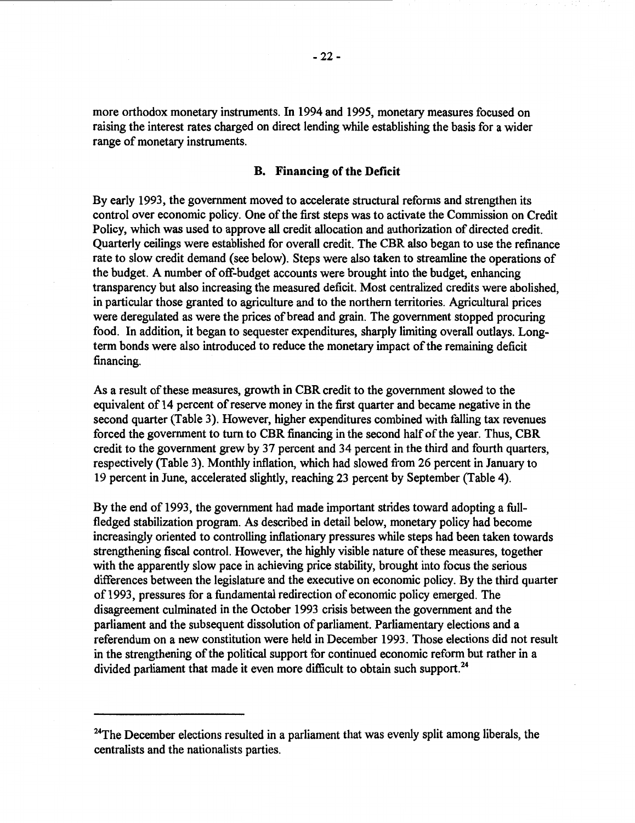more orthodox monetary instruments. In 1994 and 1995, monetary measures focused on raising the interest rates charged on direct lending while establishing the basis for a wider range of monetary instruments.

# **B. Financing of the Deficit**

By early 1993, the government moved to accelerate structural reforms and strengthen its control over economic policy. One of the first steps was to activate the Commission on Credit Policy, which was used to approve all credit allocation and authorization of directed credit. Quarterly ceilings were established for overall credit. The CBR also began to use the refinance rate to slow credit demand (see below). Steps were also taken to streamline the operations of the budget. A number of off-budget accounts were brought into the budget, enhancing transparency but also increasing the measured deficit. Most centralized credits were abolished, in particular those granted to agriculture and to the northern territories. Agricultural prices were deregulated as were the prices of bread and grain. The government stopped procuring food. In addition, it began to sequester expenditures, sharply limiting overall outlays. Longterm bonds were also introduced to reduce the monetary impact of the remaining deficit financing.

As a result of these measures, growth in CBR credit to the government slowed to the equivalent of 14 percent of reserve money in the first quarter and became negative in the second quarter (Table 3). However, higher expenditures combined with falling tax revenues forced the government to tum to CBR financing in the second half of the year. Thus, CBR credit to the government grew by 37 percent and 34 percent in the third and fourth quarters, respectively (Table 3). Monthly inflation, which had slowed from 26 percent in January to 19 percent in June, accelerated slightly, reaching 23 percent by September (Table 4).

By the end of 1993, the government had made important strides toward adopting a fullfledged stabilization program. As described in detail below, monetary policy had become increasingly oriented to controlling inflationary pressures while steps had been taken towards strengthening fiscal control. However, the highly visible nature of these measures, together with the apparently slow pace in achieving price stability, brought into focus the serious differences between the legislature and the executive on economic policy. By the third quarter of 1993, pressures for a fundamental redirection of economic policy emerged. The disagreement culminated in the October 1993 crisis between the government and the parliament and the subsequent dissolution of parliament. Parliamentary elections and a referendum on a new constitution were held in December 1993. Those elections did not result in the strengthening of the political support for continued economic reform but rather in a divided parliament that made it even more difficult to obtain such support.<sup>24</sup>

<sup>&</sup>lt;sup>24</sup>The December elections resulted in a parliament that was evenly split among liberals, the centralists and the nationalists parties.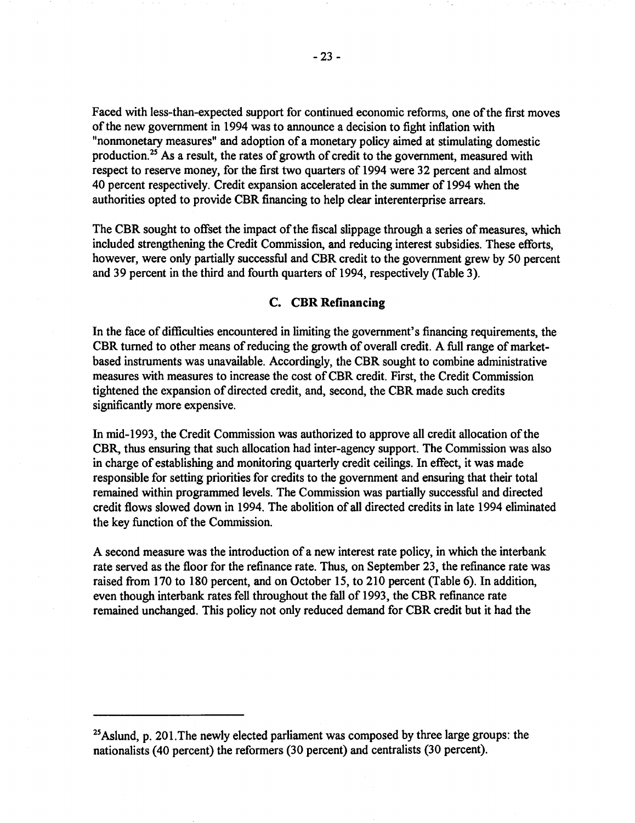Faced with less-than-expected support for continued economic reforms, one of the first moves of the new government in 1994 was to announce a decision to fight inflation with "nonmonetary measures" and adoption of a monetary policy aimed at stimulating domestic production.<sup>25</sup> As a result, the rates of growth of credit to the government, measured with respect to reserve money, for the first two quarters of 1994 were 32 percent and almost 40 percent respectively. Credit expansion accelerated in the summer of 1994 when the authorities opted to provide CBR financing to help clear interenterprise arrears.

The CBR sought to offset the impact of the fiscal slippage through a series of measures, which included strengthening the Credit Commission, and reducing interest subsidies. These efforts, however, were only partially successful and CBR credit to the government grew by 50 percent and 39 percent in the third and fourth quarters of 1994, respectively (Table 3).

# **C. CBR Refinancing**

In the face of difficulties encountered in limiting the government's financing requirements, the CBR turned to other means of reducing the growth of overall credit. A full range of marketbased instruments was unavailable. Accordingly, the CBR sought to combine administrative measures with measures to increase the cost of CBR credit. First, the Credit Commission tightened the expansion of directed credit, and, second, the CBR made such credits significantly more expensive.

In mid-1993, the Credit Commission was authorized to approve all credit allocation of the CBR, thus ensuring that such allocation had inter-agency support. The Commission was also in charge of establishing and monitoring quarterly credit ceilings. In effect, it was made responsible for setting priorities for credits to the government and ensuring that their total remained within programmed levels. The Commission was partially successful and directed credit flows slowed down in 1994. The abolition of all directed credits in late 1994 eliminated the key function of the Commission.

A second measure was the introduction of a new interest rate policy, in which the interbank rate served as the floor for the refinance rate. Thus, on September 23, the refinance rate was raised from 170 to 180 percent, and on October 15, to 210 percent (Table 6). In addition, even though interbank rates fell throughout the fall of 1993, the CBR refinance rate remained unchanged. This policy not only reduced demand for CBR credit but it had the

 $25$  Aslund, p. 201. The newly elected parliament was composed by three large groups: the nationalists (40 percent) the reformers (30 percent) and centralists (30 percent).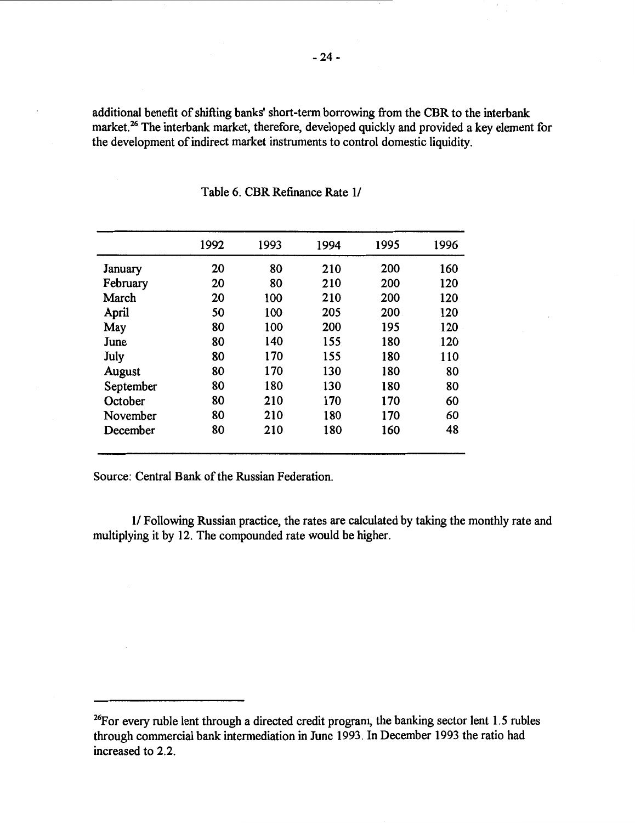additional benefit of shifting banks' short-term borrowing from the CBR to the interbank market.<sup>26</sup> The interbank market, therefore, developed quickly and provided a key element for the development of indirect market instruments to control domestic liquidity.

|           | 1992 | 1993 | 1994 | 1995 | 1996 |
|-----------|------|------|------|------|------|
| January   | 20   | 80   | 210  | 200  | 160  |
| February  | 20   | 80   | 210  | 200  | 120  |
| March     | 20   | 100  | 210  | 200  | 120  |
| April     | 50   | 100  | 205  | 200  | 120  |
| May       | 80   | 100  | 200  | 195  | 120  |
| June      | 80   | 140  | 155  | 180  | 120  |
| July      | 80   | 170  | 155  | 180  | 110  |
| August    | 80   | 170  | 130  | 180  | 80   |
| September | 80   | 180  | 130  | 180  | 80   |
| October   | 80   | 210  | 170  | 170  | 60   |
| November  | 80   | 210  | 180  | 170  | 60   |
| December  | 80   | 210  | 180  | 160  | 48   |
|           |      |      |      |      |      |

Table 6. CBR Refinance Rate 1/

Source: Central Bank of the Russian Federation.

1/ Following Russian practice, the rates are calculated by taking the monthly rate and multiplying it by 12. The compounded rate would be higher.

<sup>&</sup>lt;sup>26</sup>For every ruble lent through a directed credit program, the banking sector lent 1.5 rubles through commercial bank intermediation in June 1993. In December 1993 the ratio had increased to 2.2.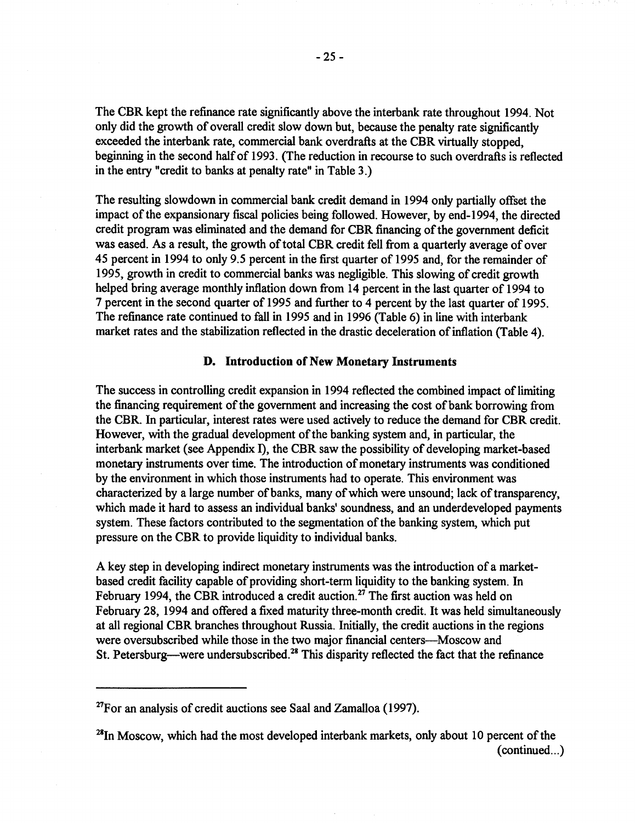The CBR kept the refinance rate significantly above the interbank rate throughout 1994. Not only did the growth of overall credit slow down but, because the penalty rate significantly exceeded the interbank rate, commercial bank overdrafts at the CBR virtually stopped, beginning in the second half of 1993. {The reduction in recourse to such overdrafts is reflected in the entry "credit to banks at penalty rate" in Table 3.)

The resulting slowdown in commercial bank credit demand in 1994 only partially offset the impact of the expansionary fiscal policies being followed. However, by end-1994, the directed credit program was eliminated and the demand for CBR financing of the government deficit was eased. As a result, the growth of total CBR credit fell from a quarterly average of over 45 percent in 1994 to only 9.5 percent in the first quarter of 1995 and, for the remainder of 1995, growth in credit to commercial banks was negligible. This slowing of credit growth helped bring average monthly inflation down from 14 percent in the last quarter of 1994 to 7 percent in the second quarter of 1995 and further to 4 percent by the last quarter of 1995. The refinance rate continued to fall in 1995 and in 1996 (Table 6) in line with interbank market rates and the stabilization reflected in the drastic deceleration of inflation (Table 4).

# **D. Introduction of New Monetary Instruments**

The success in controlling credit expansion in 1994 reflected the combined impact of limiting the financing requirement of the government and increasing the cost of bank borrowing from the CBR. In particular, interest rates were used actively to reduce the demand for CBR credit. However, with the gradual development of the banking system and, in particular, the interbank market (see Appendix I), the CBR saw the possibility of developing market-based monetary instruments over time. The introduction of monetary instruments was conditioned by the environment in which those instruments had to operate. This environment was characterized by a large number of banks, many of which were unsound; lack of transparency, which made it hard to assess an individual banks' soundness, and an underdeveloped payments system. These factors contributed to the segmentation of the banking system, which put pressure on the CBR to provide liquidity to individual banks.

A key step in developing indirect monetary instruments was the introduction of a marketbased credit facility capable of providing short-term liquidity to the banking system. In February 1994, the CBR introduced a credit auction.<sup>27</sup> The first auction was held on February 28, 1994 and offered a fixed maturity three-month credit. It was held simultaneously at all regional CBR branches throughout Russia. Initially, the credit auctions in the regions were oversubscribed while those in the two major financial centers---Moscow and St. Petersburg—were undersubscribed.<sup>28</sup> This disparity reflected the fact that the refinance

 $27$ For an analysis of credit auctions see Saal and Zamalloa (1997).

 $28$ In Moscow, which had the most developed interbank markets, only about 10 percent of the  $(continued...)$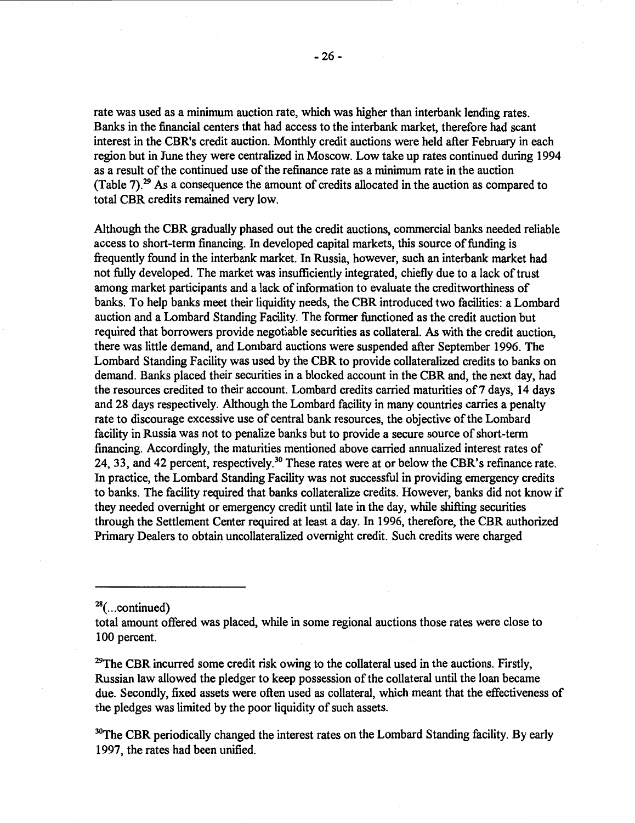rate was used as a minimum auction rate, which was higher than interbank lending rates. Banks in the financial centers that had access to the interbank market, therefore had scant interest in the CBR's credit auction. Monthly credit auctions were held after February in each region but in June they were centralized in Moscow. Low take up rates continued during 1994 as a result of the continued use of the refinance rate as a minimum rate in the auction (Table 7).29 As a consequence the amount of credits allocated in the auction as compared to total CBR credits remained very low.

Although the CBR gradually phased out the credit auctions, commercial banks needed reliable access to short-term financing. In developed capital markets, this source of funding is frequently found in the interbank market. In Russia, however, such an interbank market had not fully developed. The market was insufficiently integrated, chiefly due to a lack of trust among market participants and a lack of information to evaluate the creditworthiness of banks. To help banks meet their liquidity needs, the CBR introduced two facilities: a Lombard auction and a Lombard Standing Facility. The former functioned as the credit auction but required that borrowers provide negotiable securities as collateral. As with the credit auction, there was little demand, and Lombard auctions were suspended after September 1996. The Lombard Standing Facility was used by the CBR to provide collateralized credits to banks on demand. Banks placed their securities in a blocked account in the CBR and, the next day, had the resources credited to their account. Lombard credits carried maturities of 7 days, 14 days and 28 days respectively. Although the Lombard facility in many countries carries a penalty rate to discourage excessive use of central bank resources, the objective of the Lombard facility in Russia was not to penalize banks but to provide a secure source of short-term financing. Accordingly, the maturities mentioned above carried annualized interest rates of 24, 33, and 42 percent, respectively.<sup>30</sup> These rates were at or below the CBR's refinance rate. In practice, the Lombard Standing Facility was not successful in providing emergency credits to banks. The facility required that banks collateralize credits. However, banks did not know if they needed overnight or emergency credit until late in the day, while shifting securities through the Settlement Center required at least a day. In 1996, therefore, the CBR authorized Primary Dealers to obtain uncollateralized overnight credit. Such credits were charged

 $29$ The CBR incurred some credit risk owing to the collateral used in the auctions. Firstly, Russian law allowed the pledger to keep possession of the collateral until the loan became due. Secondly, fixed assets were often used as collateral, which meant that the effectiveness of the pledges was limited by the poor liquidity of such assets.

 $30$ The CBR periodically changed the interest rates on the Lombard Standing facility. By early 1997, the rates had been unified.

 $28$ (... continued)

total amount offered was placed, while in some regional auctions those rates were close to 100 percent.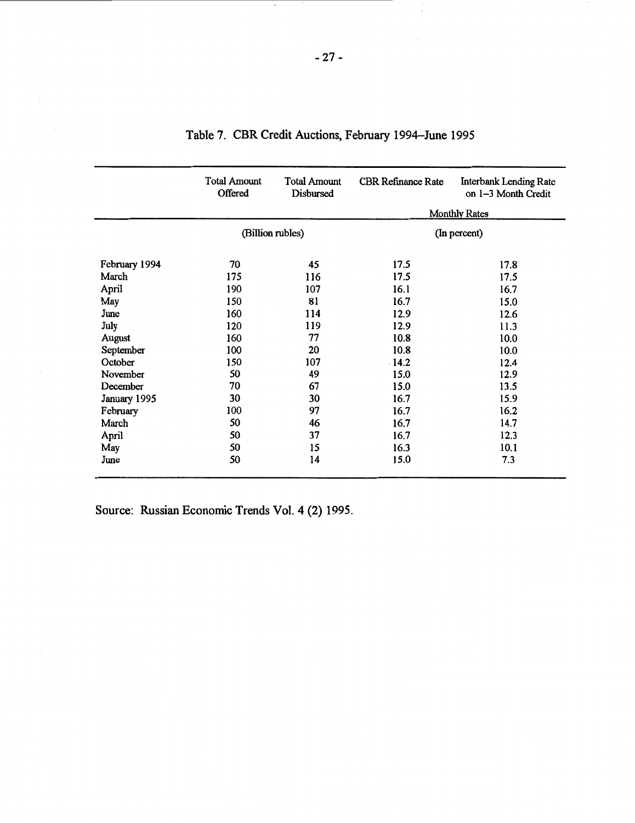|               | <b>Total Amount</b><br>Offered | <b>Total Amount</b><br>Disbursed | <b>CBR Refinance Rate</b> | <b>Interbank Lending Rate</b><br>on 1-3 Month Credit |
|---------------|--------------------------------|----------------------------------|---------------------------|------------------------------------------------------|
|               |                                |                                  |                           | <b>Monthly Rates</b>                                 |
|               |                                | (Billion rubles)                 |                           | (In percent)                                         |
| February 1994 | 70                             | 45                               | 17.5                      | 17.8                                                 |
| March         | 175                            | 116                              | 17.5                      | 17.5                                                 |
| April         | 190                            | 107                              | 16.1                      | 16.7                                                 |
| May           | 150                            | 81                               | 16.7                      | 15.0                                                 |
| June          | 160                            | 114                              | 12.9                      | 12.6                                                 |
| July          | 120                            | 119                              | 12.9                      | 11.3                                                 |
| August        | 160                            | 77                               | 10.8                      | 10.0                                                 |
| September     | 100                            | 20                               | 10.8                      | 10.0                                                 |
| October       | 150                            | 107                              | $-14.2$                   | 12.4                                                 |
| November      | 50                             | 49                               | 15.0                      | 12.9                                                 |
| December      | 70                             | 67                               | 15.0                      | 13.5                                                 |
| January 1995  | 30                             | 30                               | 16.7                      | 15.9                                                 |
| February      | 100                            | 97                               | 16.7                      | 16.2                                                 |
| March         | 50                             | 46                               | 16.7                      | 14.7                                                 |
| April         | 50                             | 37                               | 16.7                      | 12.3                                                 |
| May           | 50                             | 15                               | 16.3                      | 10.1                                                 |
| June          | 50                             | 14                               | 15.0                      | 7.3                                                  |

| Table 7. CBR Credit Auctions, February 1994–June 1995 |  |  |  |
|-------------------------------------------------------|--|--|--|
|-------------------------------------------------------|--|--|--|

Source: Russian Economic Trends Vol. 4 (2) 1995.

÷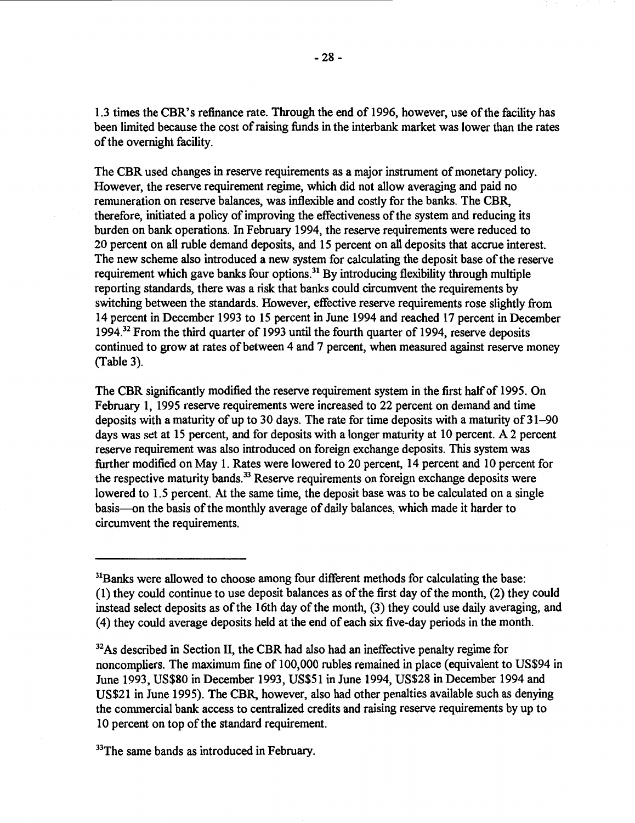1.3 times the **CBR's** refinance rate. Through the end of 1996, however, use of the facility has been limited because the cost of raising funds in the interbank market was lower than the rates of the overnight facility.

The CBR used changes in reserve requirements as a major instrument of monetary policy. However, the reserve requirement regime, which did not allow averaging and paid no remuneration on reserve balances, was inflexible and costly for the banks. The CBR, therefore, initiated a policy of improving the effectiveness of the system and reducing its burden on bank operations. In February 1994, the reserve requirements were reduced to 20 percent on all ruble demand deposits, and 15 percent on all deposits that accrue interest. The new scheme also introduced a new system for calculating the deposit base of the reserve requirement which gave banks four options.<sup>31</sup> By introducing flexibility through multiple reporting standards, there was a risk that banks could circumvent the requirements by switching between the standards. However, effective reserve requirements rose slightly from 14 percent in December 1993 to 15 percent in June 1994 and reached 17 percent in December 1994.32 From the third quarter of 1993 until the fourth quarter of 1994, reserve deposits continued to grow at rates of between 4 and 7 percent, when measured against reserve money (Table 3).

The CBR significantly modified the reserve requirement system in the first half of 1995. On February 1, 1995 reserve requirements were increased to 22 percent on demand and time deposits with a maturity of up to 30 days. The rate for time deposits with a maturity of 31-90 days was set at 15 percent, and for deposits with a longer maturity at 10 percent. A 2 percent reserve requirement was also introduced on foreign exchange deposits. This system was further modified on May 1. Rates were lowered to 20 percent, 14 percent and 10 percent for the respective maturity bands.<sup>33</sup> Reserve requirements on foreign exchange deposits were lowered to 1.5 percent. At the same time, the deposit base was to be calculated on a single basis-on the basis of the monthly average of daily balances, which made it harder to circumvent the requirements.

<sup>33</sup>The same bands as introduced in February.

<sup>&</sup>lt;sup>31</sup>Banks were allowed to choose among four different methods for calculating the base: (1) they could continue to use deposit balances as of the first day of the month, (2) they could instead select deposits as of the 16th day of the month, (3) they could use daily averaging, and ( 4) they could average deposits held at the end of each six five-day periods in the month.

 $32$ As described in Section II, the CBR had also had an ineffective penalty regime for noncompliers. The maximum fine of 100,000 rubles remained in place (equivalent to US\$94 in June 1993, US\$80 in December 1993, US\$51 in June 1994, US\$28 in December 1994 and US\$21 in June 1995). The CBR, however, also had other penalties available such as denying the commercial bank access to centralized credits and raising reserve requirements by up to 10 percent on top of the standard requirement.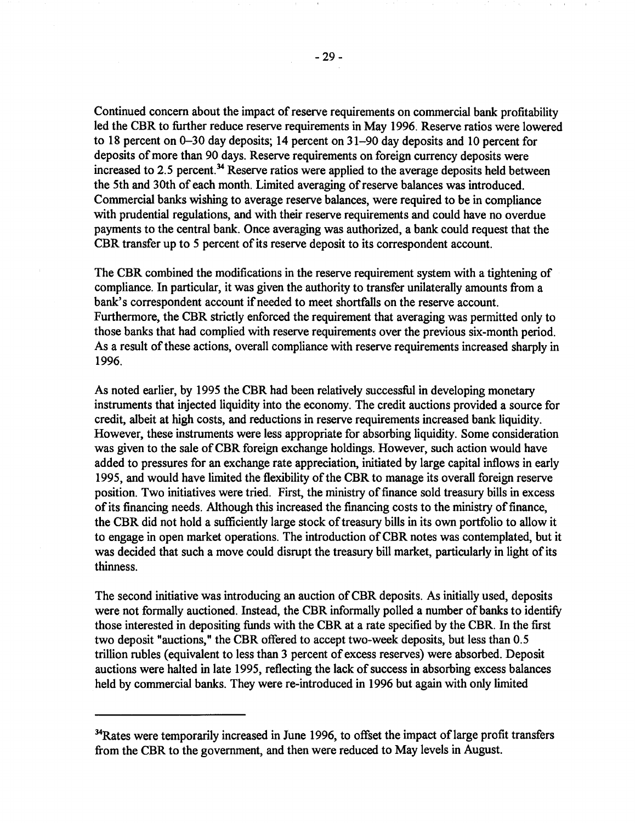Continued concern about the impact of reserve requirements on commercial bank profitability led the CBR to further reduce reserve requirements in May 1996. Reserve ratios were lowered to 18 percent on 0-30 day deposits; 14 percent on 31-90 day deposits and 10 percent for deposits of more than 90 days. Reserve requirements on foreign currency deposits were increased to 2.5 percent. 34 Reserve ratios were applied to the average deposits held between the 5th and 30th of each month. Limited averaging of reserve balances was introduced. Commercial banks wishing to average reserve balances, were required to be in compliance with prudential regulations, and with their reserve requirements and could have no overdue payments to the central bank. Once averaging was authorized, a bank could request that the CBR transfer up to *5* percent of its reserve deposit to its correspondent account.

The CBR combined the modifications in the reserve requirement system with a tightening of compliance. In particular, it was given the authority to transfer unilaterally amounts from a bank's correspondent account if needed to meet shortfalls on the reserve account. Furthermore, the CBR strictly enforced the requirement that averaging was permitted only to those banks that had complied with reserve requirements over the previous six-month period. As a result of these actions, overall compliance with reserve requirements increased sharply in 1996.

As noted earlier, by 1995 the CBR had been relatively successful in developing monetary instruments that injected liquidity into the economy. The credit auctions provided a source for credit, albeit at high costs, and reductions in reserve requirements increased bank liquidity. However, these instruments were less appropriate for absorbing liquidity. Some consideration was given to the sale of CBR foreign exchange holdings. However, such action would have added to pressures for an exchange rate appreciation, initiated by large capital inflows in early 1995, and would have limited the flexibility of the CBR to manage its overall foreign reserve position. Two initiatives were tried. First, the ministry of finance sold treasury bills in excess of its financing needs. Although this increased the financing costs to the ministry of finance, the CBR did not hold a sufficiently large stock of treasury bills in its own portfolio to allow it to engage in open market operations. The introduction of CBR notes was contemplated, but it was decided that such a move could disrupt the treasury bill market, particularly in light of its thinness.

The second initiative was introducing an auction of CBR deposits. As initially used, deposits were not formally auctioned. Instead, the CBR informally polled a number of banks to identify those interested in depositing funds with the CBR at a rate specified by the CBR. In the first two deposit "auctions," the CBR offered to accept two-week deposits, but less than 0.5 trillion rubles ( equivalent to less than 3 percent of excess reserves) were absorbed. Deposit auctions were halted in late 1995, reflecting the lack of success in absorbing excess balances held by commercial banks. They were re-introduced in 1996 but again with only limited

<sup>&</sup>lt;sup>34</sup>Rates were temporarily increased in June 1996, to offset the impact of large profit transfers from the CBR to the government, and then were reduced to May levels in August.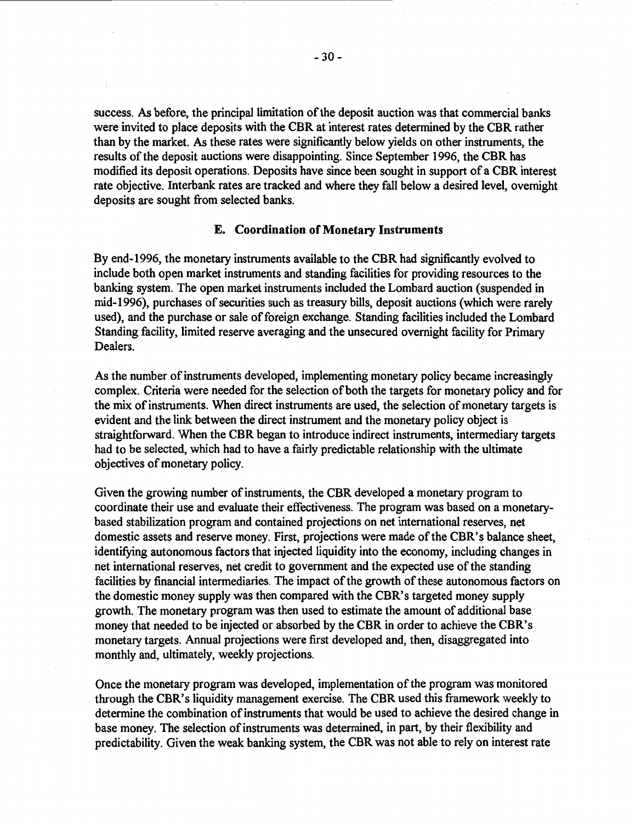success. *As* before, the principal limitation of the deposit auction was that commercial banks were invited to place deposits with the CBR at interest rates determined by the CBR rather than by the market. *As* these rates were significantly below yields on other instruments, the results of the deposit auctions were disappointing. Since September 1996, the CBR has modified its deposit operations. Deposits have since been sought in support of a CBR interest rate objective. Interbank rates are tracked and where they fall below a desired level, overnight deposits are sought from selected banks.

# **E. Coordination of Monetary Instruments**

By end-1996, the monetary instruments available to the CBR had significantly evolved to include both open market instruments and standing facilities for providing resources to the banking system. The open market instruments included the Lombard auction ( suspended in mid-1996), purchases of securities such as treasury bills, deposit auctions (which were rarely used), and the purchase or sale of foreign exchange. Standing facilities included the Lombard Standing facility, limited reserve averaging and the unsecured overnight facility for Primary **Dealers**.

*As* the number of instruments developed, implementing monetary policy became increasingly complex. Criteria were needed for the selection of both the targets for monetary policy and for the mix of instruments. When direct instruments are used, the selection of monetary targets is evident and the link between the direct instrument and the monetary policy object is straightforward. When the CBR began to introduce indirect instruments, intermediary targets had to be selected, which had to have a fairly predictable relationship with the ultimate objectives of monetary policy.

Given the growing number of instruments, the CBR developed a monetary program to coordinate their use and evaluate their effectiveness. The program was based on a monetarybased stabilization program and contained projections on net international reserves, net domestic assets and reserve money. First, projections were made of the CBR's balance sheet, identifying autonomous factors that injected liquidity into the economy, including changes in net international reserves, net credit to government and the expected use of the standing facilities by financial intermediaries. The impact of the growth of these autonomous factors on the domestic money supply was then compared with the CBR's targeted money supply growth. The monetary program was then used to estimate the amount of additional base money that needed to be injected or absorbed by the CBR in order to achieve the CBR's monetary targets. Annual projections were first developed and, then, disaggregated into monthly and, ultimately, weekly projections.

Once the monetary program was developed, implementation of the program was monitored through the CBR's liquidity management exercise. The CBR used this framework weekly to determine the combination of instruments that would be used to achieve the desired change in base money. The selection of instruments was determined, in part, by their flexibility and predictability. Given the weak banking system, the CBR was not able to rely on interest rate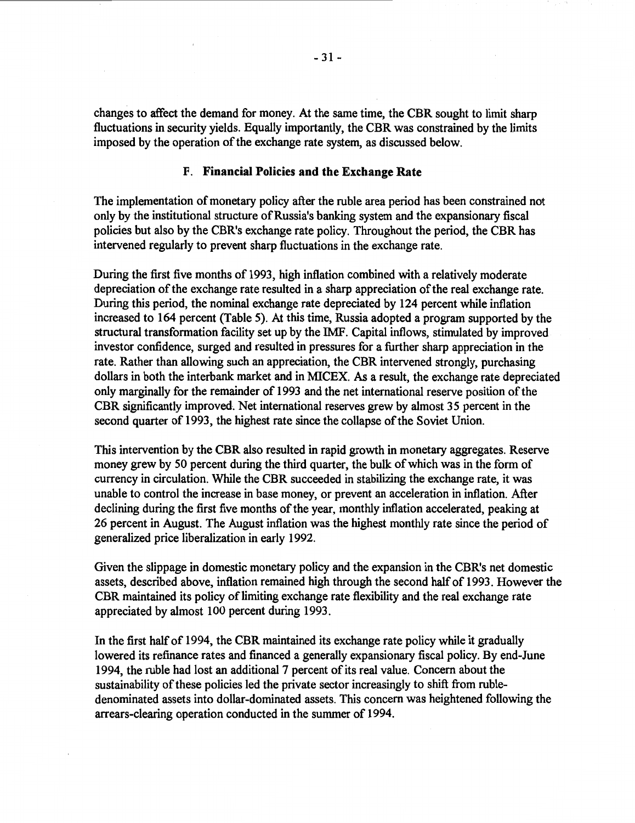changes to affect the demand for money. At the same time, the CBR sought to limit sharp fluctuations in security yields. Equally importantly, the CBR was constrained by the limits imposed by the operation of the exchange rate system, as discussed below.

# F. **Financial Policies and the Exchange Rate**

The implementation of monetary policy after the ruble area period has been constrained not only by the institutional structure of Russia's banking system and the expansionary fiscal policies but also by the CBR's exchange rate policy. Throughout the period, the CBR has intervened regularly to prevent sharp fluctuations in the exchange rate.

During the first five months of 1993, high inflation combined with a relatively moderate depreciation of the exchange rate resulted in a sharp appreciation of the real exchange rate. During this period, the nominal exchange rate depreciated by 124 percent while inflation increased to 164 percent (Table 5). At this time, Russia adopted a program supported by the structural transformation facility set up by the IMF. Capital inflows, stimulated by improved investor confidence, surged and resulted in pressures for a further sharp appreciation in the rate. Rather than allowing such an appreciation, the CBR intervened strongly, purchasing dollars in both the interbank market and in MICEX. As a result, the exchange rate depreciated only marginally for the remainder of 1993 and the net international reserve position of the CBR significantly improved. Net international reserves grew by almost 35 percent in the second quarter of 1993, the highest rate since the collapse of the Soviet Union.

This intervention by the CBR also resulted in rapid growth in monetary aggregates. Reserve money grew by 50 percent during the third quarter, the bulk of which was in the form of currency in circulation. While the CBR succeeded in stabilizing the exchange rate, it was unable to control the increase in base money, or prevent an acceleration in inflation. After declining during the first five months of the year, monthly inflation accelerated, peaking at 26 percent in August. The August inflation was the highest monthly rate since the period of generalized price liberalization in early 1992.

Given the slippage in domestic monetary policy and the expansion in the CBR's net domestic assets, described above, inflation remained high through the second half of 1993. However the CBR maintained its policy of limiting exchange rate flexibility and the real exchange rate appreciated by almost 100 percent during 1993.

In the first half of 1994, the CBR maintained its exchange rate policy while it gradually lowered its refinance rates and financed a generally expansionary fiscal policy. By end-June 1994, the ruble had lost an additional 7 percent of its real value. Concern about the sustainability of these policies led the private sector increasingly to shift from rubledenominated assets into dollar-dominated assets. This concern was heightened following the arrears-clearing operation conducted in the summer of 1994.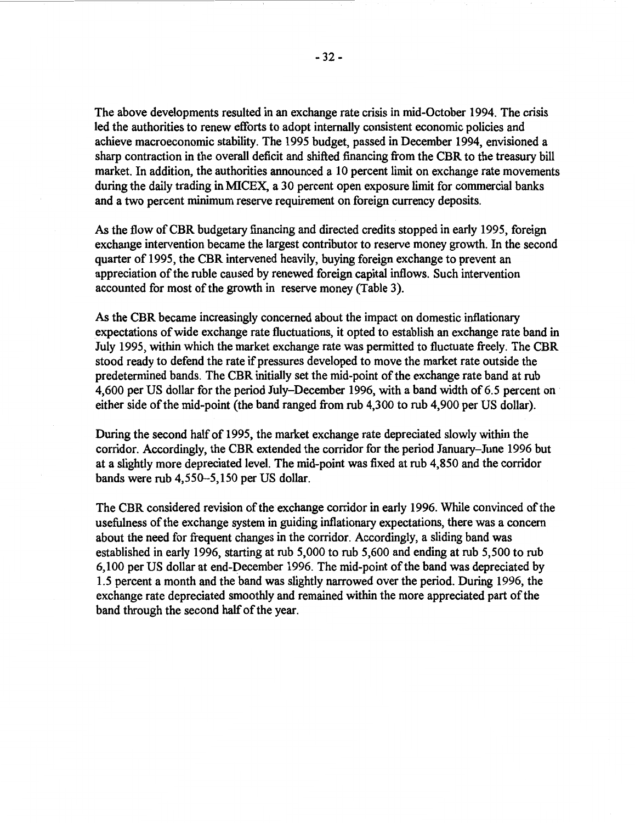The above developments resulted in an exchange rate crisis in mid-October 1994. The crisis led the authorities to renew efforts to adopt internally consistent economic policies and achieve macroeconomic stability. The 1995 budget, passed in December 1994, envisioned a sharp contraction in the overall deficit and shifted financing from the CBR to the treasury bill market. In addition, the authorities announced a 10 percent limit on exchange rate movements during the daily trading in MICEX, a 30 percent open exposure limit for commercial banks and a two percent minimum reserve requirement on foreign currency deposits.

As the flow of CBR budgetary financing and directed credits stopped in early 1995, foreign exchange intervention became the largest contributor to reserve money growth. In the second quarter of 1995, the CBR intervened heavily, buying foreign exchange to prevent an appreciation of the ruble caused by renewed foreign capital inflows. Such intervention accounted for most of the growth in reserve money (Table 3).

As the CBR became increasingly concerned about the impact on domestic inflationary expectations of wide exchange rate fluctuations, it opted to establish an exchange rate band in July 1995, within which the market exchange rate was permitted to fluctuate freely. The CBR stood ready to defend the rate if pressures developed to move the market rate outside the predetermined bands. The CBR initially set the mid-point of the exchange rate band at rub 4,600 per US dollar for the period July-December 1996, with a band width of 6.5 percent on either side of the mid-point (the band ranged from rub 4,300 to rub 4,900 per US dollar).

During the second half of 1995, the market exchange rate depreciated slowly within the corridor. Accordingly, the CBR extended the corridor for the period January-June 1996 but at a slightly more depreciated level. The mid-point was fixed at rub 4,850 and the corridor bands were rub 4,550-5, 150 per US dollar.

The CBR considered revision of the exchange corridor in early 1996. While convinced of the usefulness of the exchange system in guiding inflationary expectations, there was a concern about the need for frequent changes in the corridor. Accordingly, a sliding band was established in early 1996, starting at rub 5,000 to rub 5,600 and ending at rub 5,500 to rub 6,100 per US dollar at end-December 1996. The mid-point of the band was depreciated by 1.5 percent a month and the band was slightly narrowed over the period. During 1996, the exchange rate depreciated smoothly and remained within the more appreciated part of the band through the second half of the year.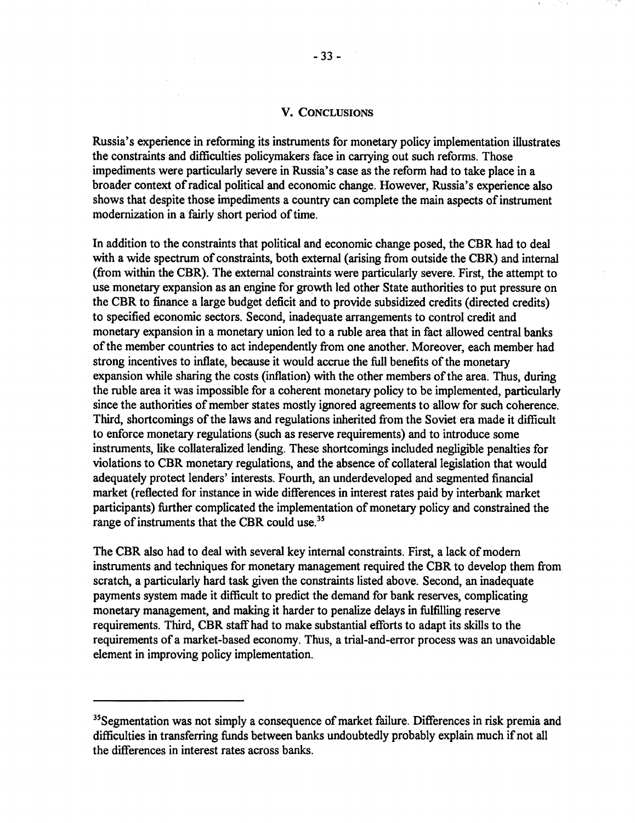### **V. CONCLUSIONS**

Russia's experience in reforming its instruments for monetary policy implementation illustrates the constraints and difficulties policymakers face in carrying out such reforms. Those impediments were particularly severe in Russia's case as the reform had to take place in a broader context of radical political and economic change. However, Russia's experience also shows that despite those impediments a country can complete the main aspects of instrument modernization in afairly short period of time.

In addition to the constraints that political and economic change posed, the CBR had to deal with a wide spectrum of constraints, both external (arising from outside the CBR) and internal (from within the CBR). The external constraints were particularly severe. First, the attempt to use monetary expansion as an engine for growth led other State authorities to put pressure on the CBR to finance a large budget deficit and to provide subsidized credits ( directed credits) to specified economic sectors. Second, inadequate arrangements to control credit and monetary expansion in a monetary union led to a ruble area that in fact allowed central banks of the member countries to act independently from one another. Moreover, each member had strong incentives to inflate, because it would accrue the full benefits of the monetary expansion while sharing the costs (inflation) with the other members of the area. Thus, during the ruble area it was impossible for a coherent monetary policy to be implemented, particularly since the authorities of member states mostly ignored agreements to allow for such coherence. Third, shortcomings of the laws and regulations inherited from the Soviet era made it difficult to enforce monetary regulations (such as reserve requirements) and to introduce some instruments, like collateralized lending. These shortcomings included negligible penalties for violations to CBR monetary regulations, and the absence of collateral legislation that would adequately protect lenders' interests. Fourth, an underdeveloped and segmented financial market (reflected for instance in wide differences in interest rates paid by interbank market participants) further complicated the implementation of monetary policy and constrained the range of instruments that the CBR could use.<sup>35</sup>

The CBR also had to deal with several key internal constraints. First, a lack of modem instruments and techniques for monetary management required the CBR to develop them from scratch, a particularly hard task given the constraints listed above. Second, an inadequate payments system made it difficult to predict the demand for bank reserves, complicating monetary management, and making it harder to penalize delays in fulfilling reserve requirements. Third, CBR staff had to make substantial efforts to adapt its skills to the requirements of a market-based economy. Thus, a trial-and-error process was an unavoidable element in improving policy implementation.

<sup>&</sup>lt;sup>35</sup>Segmentation was not simply a consequence of market failure. Differences in risk premia and difficulties in transferring funds between banks undoubtedly probably explain much if not all the differences in interest rates across banks.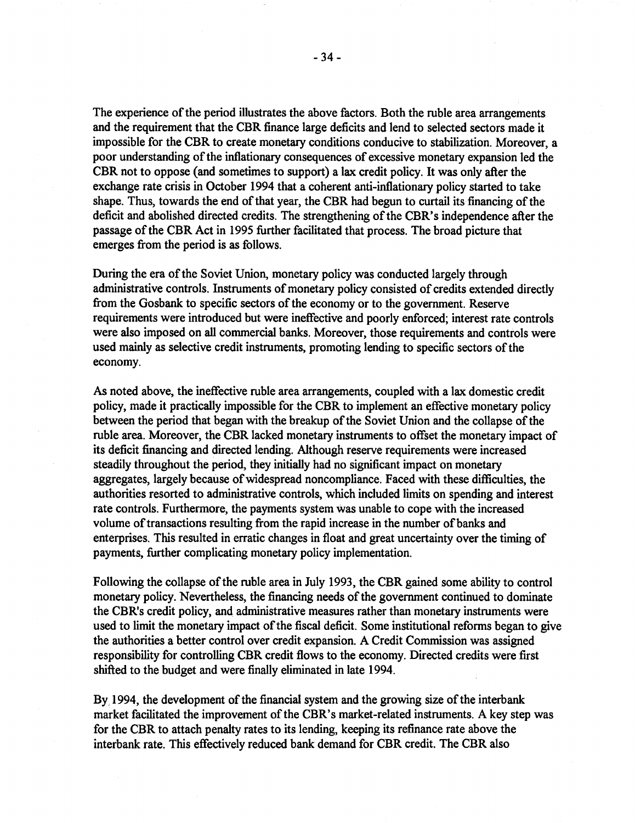The experience of the period illustrates the above factors. Both the ruble area arrangements and the requirement that the CBR finance large deficits and lend to selected sectors made it impossible for the CBR to create monetary conditions conducive to stabilization. Moreover, a poor understanding of the inflationary consequences of excessive monetary expansion led the CBR not to oppose (and sometimes to support) a lax credit policy. It was only after the exchange rate crisis in October 1994 that a coherent anti-inflationary policy started to take shape. Thus, towards the end of that year, the CBR had begun to curtail its financing of the deficit and abolished directed credits. The strengthening of the CBR's independence after the passage of the CBR Act in 1995 further facilitated that process. The broad picture that emerges from the period is as follows.

During the era of the Soviet Union, monetary policy was conducted largely through administrative controls. Instruments of monetary policy consisted of credits extended directly from the Gosbank to specific sectors of the economy or to the government. Reserve requirements were introduced but were ineffective and poorly enforced; interest rate controls were also imposed on all commercial banks. Moreover, those requirements and controls were used mainly as selective credit instruments, promoting lending to specific sectors of the economy.

As noted above, the ineffective ruble area arrangements, coupled with a lax domestic credit policy, made it practically impossible for the CBR to implement an effective monetary policy between the period that began with the breakup of the Soviet Union and the collapse of the ruble area. Moreover, the CBR lacked monetary instruments to offset the monetary impact of its deficit financing and directed lending. Although reserve requirements were increased steadily throughout the period, they initially had no significant impact on monetary aggregates, largely because of widespread noncompliance. Faced with these difficulties, the authorities resorted to administrative controls, which included limits on spending and interest rate controls. Furthermore, the payments system was unable to cope with the increased volume of transactions resulting from the rapid increase in the number of banks and enterprises. This resulted in erratic changes in float and great uncertainty over the timing of payments, further complicating monetary policy implementation.

Following the collapse of the ruble area in July 1993, the CBR gained some ability to control monetary policy. Nevertheless, the financing needs of the government continued to dominate the CBR's credit policy, and administrative measures rather than monetary instruments were used to limit the monetary impact of the fiscal deficit. Some institutional reforms began to give the authorities a better control over credit expansion. A Credit Commission was assigned responsibility for controlling CBR credit flows to the economy. Directed credits were first shifted to the budget and were finally eliminated in late 1994.

By 1994, the development of the financial system and the growing size of the interbank market facilitated the improvement of the CBR's market-related instruments. A key step was for the CBR to attach penalty rates to its lending, keeping its refinance rate above the interbank rate. This effectively reduced bank demand for CBR credit. The CBR also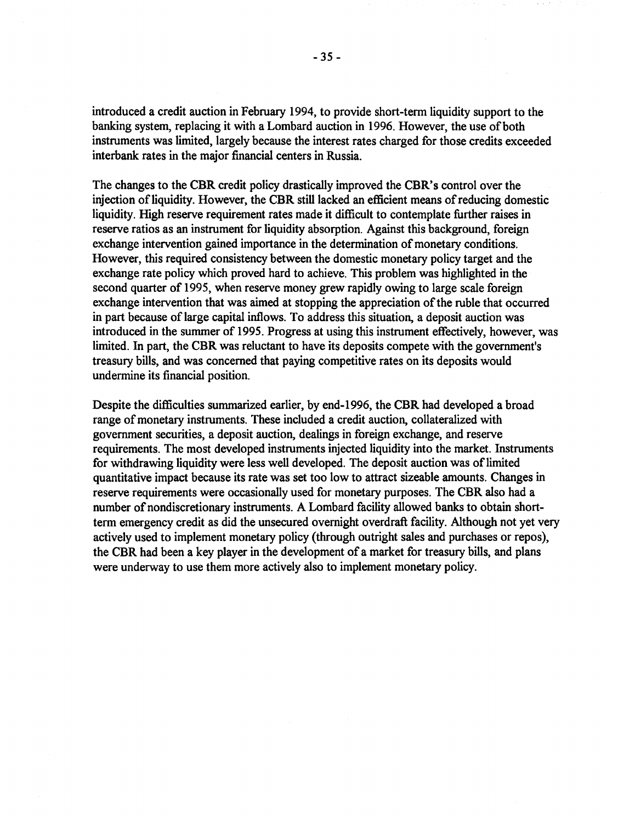introduced a credit auction in February 1994, to provide short-term liquidity support to the banking system, replacing it with a Lombard auction in 1996. However, the use of both instruments was limited, largely because the interest rates charged for those credits exceeded interbank rates in the major financial centers in Russia.

The changes to the CBR credit policy drastically improved the CBR's control over the injection of liquidity. However, the CBR still lacked an efficient means of reducing domestic liquidity. High reserve requirement rates made it difficult to contemplate further raises in reserve ratios as an instrument for liquidity absorption. Against this background, foreign exchange intervention gained importance in the determination of monetary conditions. However, this required consistency between the domestic monetary policy target and the exchange rate policy which proved hard to achieve. This problem was highlighted in the second quarter of 1995, when reserve money grew rapidly owing to large scale foreign exchange intervention that was aimed at stopping the appreciation of the ruble that occurred in part because of large capital inflows. To address this situation, a deposit auction was introduced in the summer of 1995. Progress at using this instrument effectively, however, was limited. In part, the CBR was reluctant to have its deposits compete with the government's treasury bills, and was concerned that paying competitive rates on its deposits would undermine its financial position.

Despite the difficulties summarized earlier, by end-1996, the CBR had developed a broad range of monetary instruments. These included a credit auction, collateralized with government securities, a deposit auction, dealings in foreign exchange, and reserve requirements. The most developed instruments injected liquidity into the market. Instruments for withdrawing liquidity were less well developed. The deposit auction was of limited quantitative impact because its rate was set too low to attract sizeable amounts. Changes in reserve requirements were occasionally used for monetary purposes. The CBR also had a number of nondiscretionary instruments. A Lombard facility allowed banks to obtain shortterm emergency credit as did the unsecured overnight overdraft facility. Although not yet very actively used to implement monetary policy (through outright sales and purchases or repos), the CBR had been a key player in the development of a market for treasury bills, and plans were underway to use them more actively also to implement monetary policy.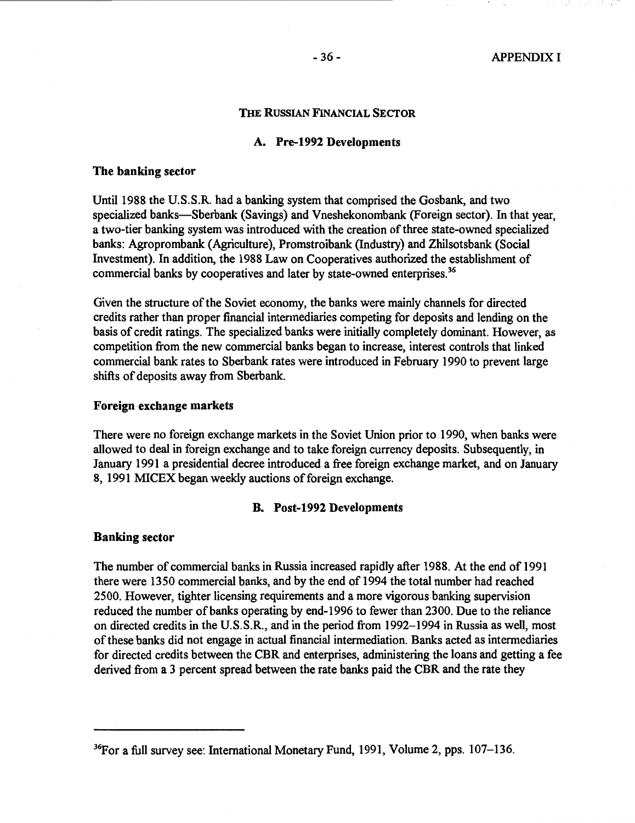#### **THE RUSSIAN FINANCIAL SECTOR**

# **A. Pre-1992 Developments**

#### **The banking sector**

Until 1988 the U.S.S.R. had a banking system that comprised the Gosbank, and two specialized banks-Sberbank (Savings) and Vneshekonombank (Foreign sector). In that year, a two-tier banking system was introduced with the creation of three state-owned specialized banks: Agroprombank (Agriculture), Promstroibank (Industry) and Zhilsotsbank (Social Investment). In addition, the 1988 Law on Cooperatives authorized the establishment of commercial banks by cooperatives and later by state-owned enterprises. 36

Given the structure of the Soviet economy, the banks were mainly channels for directed credits rather than proper financial intermediaries competing for deposits and lending on the basis of credit ratings. The specialized banks were initially completely dominant. However, as competition from the new commercial banks began to increase, interest controls that linked commercial bank rates to Sberbank rates were introduced in February 1990 to prevent large shifts of deposits away from Sberbank.

# **Foreign exchange markets**

There were no foreign exchange markets in the Soviet Union prior to 1990, when banks were allowed to deal in foreign exchange and to take foreign currency deposits. Subsequently, in January 1991 a presidential decree introduced a free foreign exchange market, and on January 8, 1991 MICEX began weekly auctions of foreign exchange.

#### **B. Post-1992 Developments**

### **Banking sector**

The number of commercial banks in Russia increased rapidly after 1988. At the end of 1991 there were 1350 commercial banks, and by the end of 1994 the total number had reached 2500. However, tighter licensing requirements and a more vigorous banking supervision reduced the number of banks operating by end-1996 to fewer than 2300. Due to the reliance on directed credits in the U.S.S.R., and in the period from 1992–1994 in Russia as well, most of these banks did not engage in actual financial intermediation. Banks acted as intermediaries for directed credits between the CBR and enterprises, administering the loans and getting a fee derived from a 3 percent spread between the rate banks paid the CBR and the rate they

<sup>36</sup>For a full survey see: International Monetary Fund, 1991, Volume 2, pps. 107-136.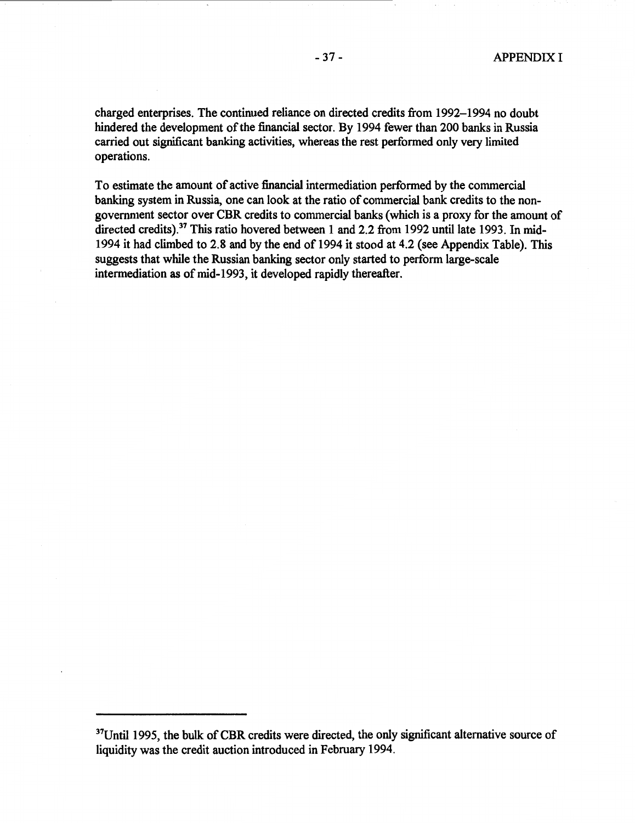charged enterprises. The continued reliance on directed credits from 1992-1994 no doubt hindered the development of the financial sector. By 1994 fewer than 200 banks in Russia carried out significant banking activities, whereas the rest performed only very limited operations.

To estimate the amount of active financial intermediation performed by the commercial banking system in Russia, one can look at the ratio of commercial bank credits to the nongovernment sector over CBR credits to commercial banks ( which is a proxy for the amount of directed credits).<sup>37</sup> This ratio hovered between 1 and 2.2 from 1992 until late 1993. In mid-1994 it had climbed to 2.8 and by the end of 1994 it stood at 4.2 (see Appendix Table). This suggests that while the Russian banking sector only started to perform large-scale intermediation as of mid-1993, it developed rapidly thereafter.

 $37$ Until 1995, the bulk of CBR credits were directed, the only significant alternative source of liquidity was the credit auction introduced in February 1994.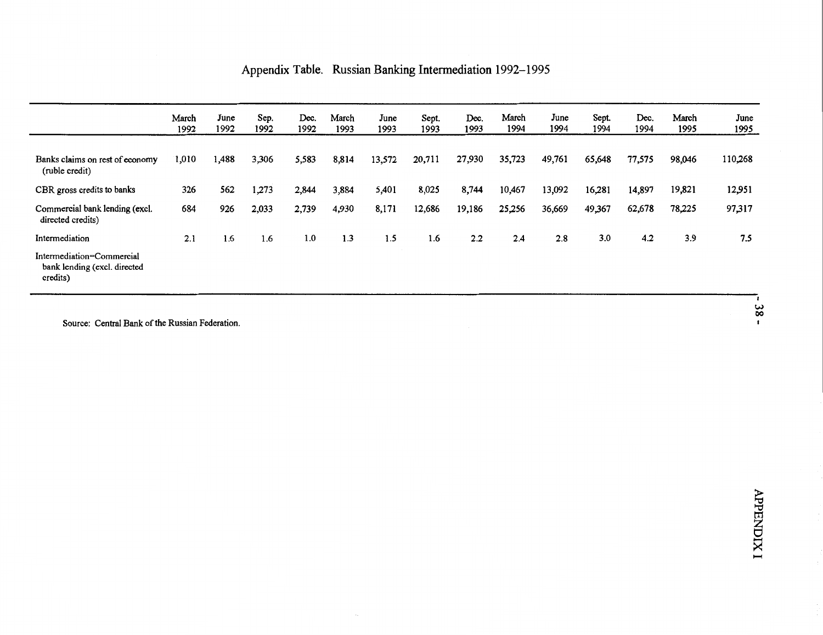|  | Appendix Table. Russian Banking Intermediation 1992-1995 |  |  |
|--|----------------------------------------------------------|--|--|
|--|----------------------------------------------------------|--|--|

|                                                                       | March<br>1992 | June<br>1992 | Sep.<br>1992 | Dec.<br>1992 | March<br>1993 | June<br>1993 | Sept.<br>1993 | Dec.<br>1993 | March<br>1994 | June<br>1994 | Sept.<br>1994 | Dec.<br>1994 | March<br>1995 | June<br>1995  |
|-----------------------------------------------------------------------|---------------|--------------|--------------|--------------|---------------|--------------|---------------|--------------|---------------|--------------|---------------|--------------|---------------|---------------|
| Banks claims on rest of economy<br>(ruble credit)                     | 1,010         | 1,488        | 3,306        | 5,583        | 8,814         | 13,572       | 20,711        | 27,930       | 35,723        | 49,761       | 65,648        | 77,575       | 98,046        | 110,268       |
| CBR gross credits to banks                                            | 326           | 562          | 1,273        | 2,844        | 3,884         | 5,401        | 8,025         | 8,744        | 10,467        | 13,092       | 16,281        | 14,897       | 19,821        | 12,951        |
| Commercial bank lending (excl.<br>directed credits)                   | 684           | 926          | 2,033        | 2,739        | 4,930         | 8,171        | 12,686        | 19,186       | 25,256        | 36,669       | 49,367        | 62,678       | 78,225        | 97,317        |
| Intermediation                                                        | 2.1           | 1.6          | 1.6          | 1.0          | 1.3           | 1.5          | 1.6           | 2.2          | 2.4           | 2.8          | 3.0           | 4.2          | 3.9           | 7.5           |
| Intermediation=Commercial<br>bank lending (excl. directed<br>credits) |               |              |              |              |               |              |               |              |               |              |               |              |               |               |
|                                                                       |               |              |              |              |               |              |               |              |               |              |               |              |               | $\frac{8}{8}$ |

Source: Central Bank of the Russian Federation.

*><* I--!